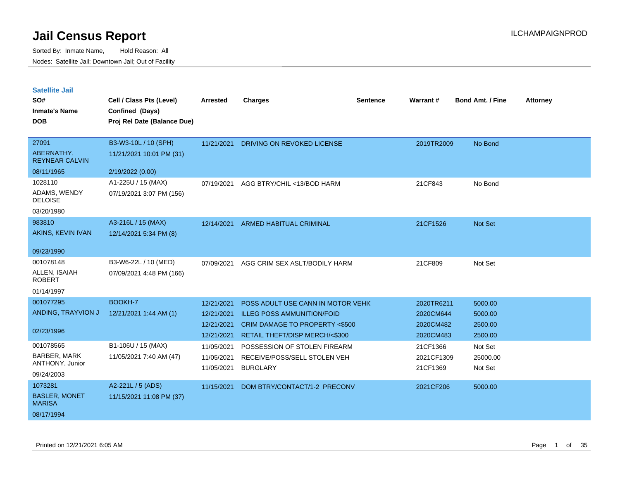| <b>Satellite Jail</b> |  |
|-----------------------|--|
|                       |  |

| SO#<br><b>Inmate's Name</b><br><b>DOB</b> | Cell / Class Pts (Level)<br>Confined (Days)<br>Proj Rel Date (Balance Due) | <b>Arrested</b> | <b>Charges</b>                           | <b>Sentence</b> | Warrant#   | <b>Bond Amt. / Fine</b> | <b>Attorney</b> |
|-------------------------------------------|----------------------------------------------------------------------------|-----------------|------------------------------------------|-----------------|------------|-------------------------|-----------------|
|                                           |                                                                            |                 |                                          |                 |            |                         |                 |
| 27091                                     | B3-W3-10L / 10 (SPH)                                                       | 11/21/2021      | DRIVING ON REVOKED LICENSE               |                 | 2019TR2009 | No Bond                 |                 |
| ABERNATHY,<br><b>REYNEAR CALVIN</b>       | 11/21/2021 10:01 PM (31)                                                   |                 |                                          |                 |            |                         |                 |
| 08/11/1965                                | 2/19/2022 (0.00)                                                           |                 |                                          |                 |            |                         |                 |
| 1028110                                   | A1-225U / 15 (MAX)                                                         | 07/19/2021      | AGG BTRY/CHIL <13/BOD HARM               |                 | 21CF843    | No Bond                 |                 |
| ADAMS, WENDY<br><b>DELOISE</b>            | 07/19/2021 3:07 PM (156)                                                   |                 |                                          |                 |            |                         |                 |
| 03/20/1980                                |                                                                            |                 |                                          |                 |            |                         |                 |
| 983810                                    | A3-216L / 15 (MAX)                                                         |                 | 12/14/2021 ARMED HABITUAL CRIMINAL       |                 | 21CF1526   | Not Set                 |                 |
| AKINS, KEVIN IVAN                         | 12/14/2021 5:34 PM (8)                                                     |                 |                                          |                 |            |                         |                 |
| 09/23/1990                                |                                                                            |                 |                                          |                 |            |                         |                 |
| 001078148                                 | B3-W6-22L / 10 (MED)                                                       | 07/09/2021      | AGG CRIM SEX ASLT/BODILY HARM            |                 | 21CF809    | Not Set                 |                 |
| ALLEN, ISAIAH<br><b>ROBERT</b>            | 07/09/2021 4:48 PM (166)                                                   |                 |                                          |                 |            |                         |                 |
| 01/14/1997                                |                                                                            |                 |                                          |                 |            |                         |                 |
| 001077295                                 | BOOKH-7                                                                    | 12/21/2021      | POSS ADULT USE CANN IN MOTOR VEHIC       |                 | 2020TR6211 | 5000.00                 |                 |
| ANDING, TRAYVION J                        | 12/21/2021 1:44 AM (1)                                                     | 12/21/2021      | <b>ILLEG POSS AMMUNITION/FOID</b>        |                 | 2020CM644  | 5000.00                 |                 |
|                                           |                                                                            | 12/21/2021      | <b>CRIM DAMAGE TO PROPERTY &lt;\$500</b> |                 | 2020CM482  | 2500.00                 |                 |
| 02/23/1996                                |                                                                            | 12/21/2021      | RETAIL THEFT/DISP MERCH/<\$300           |                 | 2020CM483  | 2500.00                 |                 |
| 001078565                                 | B1-106U / 15 (MAX)                                                         | 11/05/2021      | POSSESSION OF STOLEN FIREARM             |                 | 21CF1366   | Not Set                 |                 |
| <b>BARBER, MARK</b>                       | 11/05/2021 7:40 AM (47)                                                    | 11/05/2021      | RECEIVE/POSS/SELL STOLEN VEH             |                 | 2021CF1309 | 25000.00                |                 |
| ANTHONY, Junior                           |                                                                            | 11/05/2021      | <b>BURGLARY</b>                          |                 | 21CF1369   | Not Set                 |                 |
| 09/24/2003                                |                                                                            |                 |                                          |                 |            |                         |                 |
| 1073281                                   | A2-221L / 5 (ADS)                                                          | 11/15/2021      | DOM BTRY/CONTACT/1-2 PRECONV             |                 | 2021CF206  | 5000.00                 |                 |
| <b>BASLER, MONET</b><br><b>MARISA</b>     | 11/15/2021 11:08 PM (37)                                                   |                 |                                          |                 |            |                         |                 |
| 08/17/1994                                |                                                                            |                 |                                          |                 |            |                         |                 |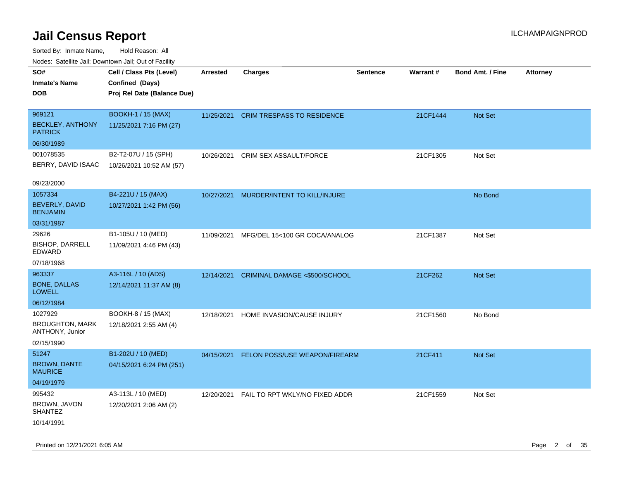| Nudes. Satellite Jali, Downtown Jali, Out of Facility |                             |                 |                                          |                 |          |                         |                 |
|-------------------------------------------------------|-----------------------------|-----------------|------------------------------------------|-----------------|----------|-------------------------|-----------------|
| SO#                                                   | Cell / Class Pts (Level)    | <b>Arrested</b> | <b>Charges</b>                           | <b>Sentence</b> | Warrant# | <b>Bond Amt. / Fine</b> | <b>Attorney</b> |
| Inmate's Name                                         | Confined (Days)             |                 |                                          |                 |          |                         |                 |
| DOB                                                   | Proj Rel Date (Balance Due) |                 |                                          |                 |          |                         |                 |
|                                                       |                             |                 |                                          |                 |          |                         |                 |
| 969121                                                | <b>BOOKH-1 / 15 (MAX)</b>   |                 | 11/25/2021 CRIM TRESPASS TO RESIDENCE    |                 | 21CF1444 | <b>Not Set</b>          |                 |
| <b>BECKLEY, ANTHONY</b><br><b>PATRICK</b>             | 11/25/2021 7:16 PM (27)     |                 |                                          |                 |          |                         |                 |
| 06/30/1989                                            |                             |                 |                                          |                 |          |                         |                 |
| 001078535                                             | B2-T2-07U / 15 (SPH)        | 10/26/2021      | CRIM SEX ASSAULT/FORCE                   |                 | 21CF1305 | Not Set                 |                 |
| BERRY, DAVID ISAAC                                    | 10/26/2021 10:52 AM (57)    |                 |                                          |                 |          |                         |                 |
| 09/23/2000                                            |                             |                 |                                          |                 |          |                         |                 |
| 1057334                                               | B4-221U / 15 (MAX)          | 10/27/2021      | MURDER/INTENT TO KILL/INJURE             |                 |          | No Bond                 |                 |
| BEVERLY, DAVID<br><b>BENJAMIN</b>                     | 10/27/2021 1:42 PM (56)     |                 |                                          |                 |          |                         |                 |
| 03/31/1987                                            |                             |                 |                                          |                 |          |                         |                 |
| 29626                                                 | B1-105U / 10 (MED)          | 11/09/2021      | MFG/DEL 15<100 GR COCA/ANALOG            |                 | 21CF1387 | Not Set                 |                 |
| <b>BISHOP, DARRELL</b><br>EDWARD                      | 11/09/2021 4:46 PM (43)     |                 |                                          |                 |          |                         |                 |
| 07/18/1968                                            |                             |                 |                                          |                 |          |                         |                 |
| 963337                                                | A3-116L / 10 (ADS)          | 12/14/2021      | CRIMINAL DAMAGE <\$500/SCHOOL            |                 | 21CF262  | <b>Not Set</b>          |                 |
| <b>BONE, DALLAS</b><br>LOWELL                         | 12/14/2021 11:37 AM (8)     |                 |                                          |                 |          |                         |                 |
| 06/12/1984                                            |                             |                 |                                          |                 |          |                         |                 |
| 1027929                                               | BOOKH-8 / 15 (MAX)          | 12/18/2021      | HOME INVASION/CAUSE INJURY               |                 | 21CF1560 | No Bond                 |                 |
| <b>BROUGHTON, MARK</b><br>ANTHONY, Junior             | 12/18/2021 2:55 AM (4)      |                 |                                          |                 |          |                         |                 |
| 02/15/1990                                            |                             |                 |                                          |                 |          |                         |                 |
| 51247                                                 | B1-202U / 10 (MED)          |                 | 04/15/2021 FELON POSS/USE WEAPON/FIREARM |                 | 21CF411  | <b>Not Set</b>          |                 |
| <b>BROWN, DANTE</b><br>MAURICE                        | 04/15/2021 6:24 PM (251)    |                 |                                          |                 |          |                         |                 |
| 04/19/1979                                            |                             |                 |                                          |                 |          |                         |                 |
| 995432                                                | A3-113L / 10 (MED)          | 12/20/2021      | FAIL TO RPT WKLY/NO FIXED ADDR           |                 | 21CF1559 | Not Set                 |                 |
| BROWN, JAVON<br>SHANTEZ                               | 12/20/2021 2:06 AM (2)      |                 |                                          |                 |          |                         |                 |
| 10/14/1991                                            |                             |                 |                                          |                 |          |                         |                 |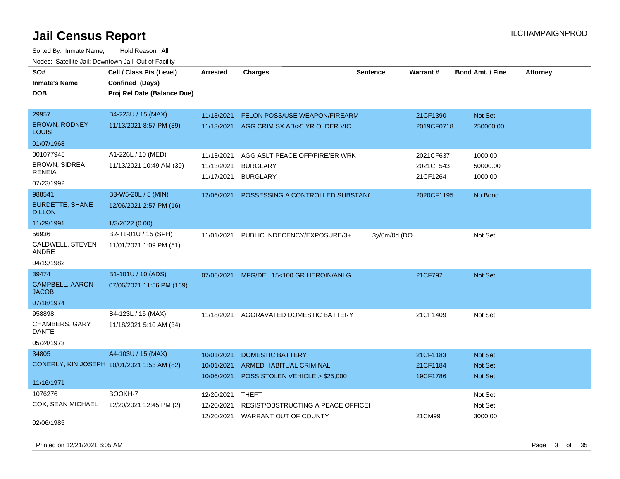Sorted By: Inmate Name, Hold Reason: All Nodes: Satellite Jail; Downtown Jail; Out of Facility

| SO#<br><b>Inmate's Name</b><br><b>DOB</b> | Cell / Class Pts (Level)<br>Confined (Days)<br>Proj Rel Date (Balance Due) | <b>Arrested</b> | Charges                                   | <b>Sentence</b> | <b>Warrant#</b> | Bond Amt. / Fine | <b>Attorney</b> |
|-------------------------------------------|----------------------------------------------------------------------------|-----------------|-------------------------------------------|-----------------|-----------------|------------------|-----------------|
| 29957                                     | B4-223U / 15 (MAX)                                                         | 11/13/2021      | FELON POSS/USE WEAPON/FIREARM             |                 | 21CF1390        | Not Set          |                 |
| <b>BROWN, RODNEY</b><br>LOUIS             | 11/13/2021 8:57 PM (39)                                                    |                 | 11/13/2021 AGG CRIM SX AB/>5 YR OLDER VIC |                 | 2019CF0718      | 250000.00        |                 |
| 01/07/1968                                |                                                                            |                 |                                           |                 |                 |                  |                 |
| 001077945                                 | A1-226L / 10 (MED)                                                         | 11/13/2021      | AGG ASLT PEACE OFF/FIRE/ER WRK            |                 | 2021CF637       | 1000.00          |                 |
| <b>BROWN, SIDREA</b><br><b>RENEIA</b>     | 11/13/2021 10:49 AM (39)                                                   | 11/13/2021      | <b>BURGLARY</b>                           |                 | 2021CF543       | 50000.00         |                 |
| 07/23/1992                                |                                                                            | 11/17/2021      | <b>BURGLARY</b>                           |                 | 21CF1264        | 1000.00          |                 |
| 988541                                    | B3-W5-20L / 5 (MIN)                                                        | 12/06/2021      | POSSESSING A CONTROLLED SUBSTANC          |                 | 2020CF1195      | No Bond          |                 |
| <b>BURDETTE, SHANE</b><br><b>DILLON</b>   | 12/06/2021 2:57 PM (16)                                                    |                 |                                           |                 |                 |                  |                 |
| 11/29/1991                                | 1/3/2022 (0.00)                                                            |                 |                                           |                 |                 |                  |                 |
| 56936                                     | B2-T1-01U / 15 (SPH)                                                       | 11/01/2021      | PUBLIC INDECENCY/EXPOSURE/3+              | 3y/0m/0d (DO    |                 | Not Set          |                 |
| CALDWELL, STEVEN<br>ANDRE                 | 11/01/2021 1:09 PM (51)                                                    |                 |                                           |                 |                 |                  |                 |
| 04/19/1982                                |                                                                            |                 |                                           |                 |                 |                  |                 |
| 39474                                     | B1-101U / 10 (ADS)                                                         | 07/06/2021      | MFG/DEL 15<100 GR HEROIN/ANLG             |                 | 21CF792         | Not Set          |                 |
| CAMPBELL, AARON<br><b>JACOB</b>           | 07/06/2021 11:56 PM (169)                                                  |                 |                                           |                 |                 |                  |                 |
| 07/18/1974                                |                                                                            |                 |                                           |                 |                 |                  |                 |
| 958898                                    | B4-123L / 15 (MAX)                                                         | 11/18/2021      | AGGRAVATED DOMESTIC BATTERY               |                 | 21CF1409        | Not Set          |                 |
| CHAMBERS, GARY<br><b>DANTE</b>            | 11/18/2021 5:10 AM (34)                                                    |                 |                                           |                 |                 |                  |                 |
| 05/24/1973                                |                                                                            |                 |                                           |                 |                 |                  |                 |
| 34805                                     | A4-103U / 15 (MAX)                                                         | 10/01/2021      | <b>DOMESTIC BATTERY</b>                   |                 | 21CF1183        | Not Set          |                 |
|                                           | CONERLY, KIN JOSEPH 10/01/2021 1:53 AM (82)                                | 10/01/2021      | ARMED HABITUAL CRIMINAL                   |                 | 21CF1184        | Not Set          |                 |
| 11/16/1971                                |                                                                            | 10/06/2021      | POSS STOLEN VEHICLE > \$25,000            |                 | 19CF1786        | Not Set          |                 |
| 1076276                                   | BOOKH-7                                                                    | 12/20/2021      | THEFT                                     |                 |                 | Not Set          |                 |
| COX, SEAN MICHAEL                         | 12/20/2021 12:45 PM (2)                                                    | 12/20/2021      | RESIST/OBSTRUCTING A PEACE OFFICEF        |                 |                 | Not Set          |                 |
| 02/06/1985                                |                                                                            | 12/20/2021      | WARRANT OUT OF COUNTY                     |                 | 21CM99          | 3000.00          |                 |

Printed on 12/21/2021 6:05 AM Page 3 of 35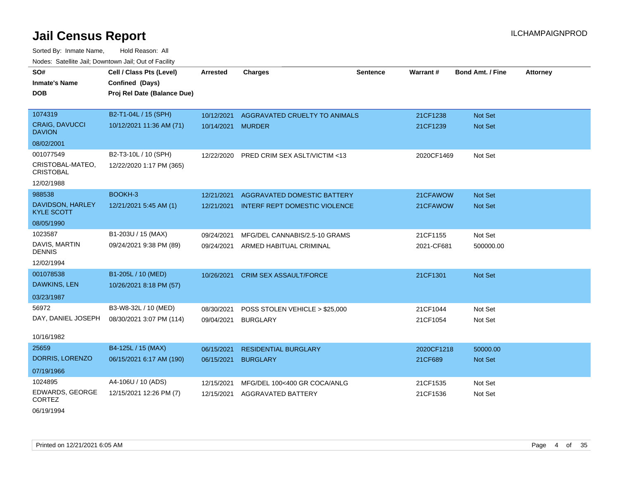Sorted By: Inmate Name, Hold Reason: All Nodes: Satellite Jail; Downtown Jail; Out of Facility

| SO#<br><b>Inmate's Name</b><br><b>DOB</b>                                     | Cell / Class Pts (Level)<br>Confined (Days)<br>Proj Rel Date (Balance Due) | Arrested                 | <b>Charges</b>                                                      | <b>Sentence</b> | Warrant#               | <b>Bond Amt. / Fine</b>          | <b>Attorney</b> |
|-------------------------------------------------------------------------------|----------------------------------------------------------------------------|--------------------------|---------------------------------------------------------------------|-----------------|------------------------|----------------------------------|-----------------|
| 1074319<br><b>CRAIG, DAVUCCI</b><br><b>DAVION</b>                             | B2-T1-04L / 15 (SPH)<br>10/12/2021 11:36 AM (71)                           | 10/12/2021<br>10/14/2021 | AGGRAVATED CRUELTY TO ANIMALS<br><b>MURDER</b>                      |                 | 21CF1238<br>21CF1239   | <b>Not Set</b><br><b>Not Set</b> |                 |
| 08/02/2001<br>001077549<br>CRISTOBAL-MATEO,<br><b>CRISTOBAL</b><br>12/02/1988 | B2-T3-10L / 10 (SPH)<br>12/22/2020 1:17 PM (365)                           | 12/22/2020               | PRED CRIM SEX ASLT/VICTIM <13                                       |                 | 2020CF1469             | Not Set                          |                 |
| 988538<br>DAVIDSON, HARLEY<br><b>KYLE SCOTT</b><br>08/05/1990                 | BOOKH-3<br>12/21/2021 5:45 AM (1)                                          | 12/21/2021<br>12/21/2021 | AGGRAVATED DOMESTIC BATTERY<br><b>INTERF REPT DOMESTIC VIOLENCE</b> |                 | 21CFAWOW<br>21CFAWOW   | Not Set<br>Not Set               |                 |
| 1023587<br>DAVIS, MARTIN<br><b>DENNIS</b><br>12/02/1994                       | B1-203U / 15 (MAX)<br>09/24/2021 9:38 PM (89)                              | 09/24/2021<br>09/24/2021 | MFG/DEL CANNABIS/2.5-10 GRAMS<br>ARMED HABITUAL CRIMINAL            |                 | 21CF1155<br>2021-CF681 | Not Set<br>500000.00             |                 |
| 001078538<br>DAWKINS, LEN<br>03/23/1987                                       | B1-205L / 10 (MED)<br>10/26/2021 8:18 PM (57)                              | 10/26/2021               | <b>CRIM SEX ASSAULT/FORCE</b>                                       |                 | 21CF1301               | Not Set                          |                 |
| 56972<br>DAY, DANIEL JOSEPH<br>10/16/1982                                     | B3-W8-32L / 10 (MED)<br>08/30/2021 3:07 PM (114)                           | 08/30/2021<br>09/04/2021 | POSS STOLEN VEHICLE > \$25,000<br><b>BURGLARY</b>                   |                 | 21CF1044<br>21CF1054   | Not Set<br>Not Set               |                 |
| 25659<br>DORRIS, LORENZO<br>07/19/1966                                        | B4-125L / 15 (MAX)<br>06/15/2021 6:17 AM (190)                             | 06/15/2021<br>06/15/2021 | <b>RESIDENTIAL BURGLARY</b><br><b>BURGLARY</b>                      |                 | 2020CF1218<br>21CF689  | 50000.00<br>Not Set              |                 |
| 1024895<br>EDWARDS, GEORGE<br><b>CORTEZ</b>                                   | A4-106U / 10 (ADS)<br>12/15/2021 12:26 PM (7)                              | 12/15/2021<br>12/15/2021 | MFG/DEL 100<400 GR COCA/ANLG<br><b>AGGRAVATED BATTERY</b>           |                 | 21CF1535<br>21CF1536   | Not Set<br>Not Set               |                 |

06/19/1994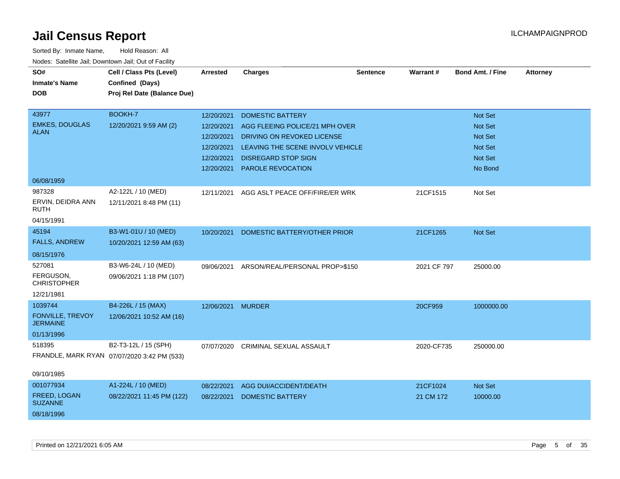| SO#<br><b>Inmate's Name</b><br><b>DOB</b>  | Cell / Class Pts (Level)<br>Confined (Days)<br>Proj Rel Date (Balance Due) | Arrested                 | <b>Charges</b>                                                 | <b>Sentence</b> | <b>Warrant#</b> | <b>Bond Amt. / Fine</b>          | <b>Attorney</b> |
|--------------------------------------------|----------------------------------------------------------------------------|--------------------------|----------------------------------------------------------------|-----------------|-----------------|----------------------------------|-----------------|
| 43977                                      | BOOKH-7                                                                    | 12/20/2021               | <b>DOMESTIC BATTERY</b>                                        |                 |                 | Not Set                          |                 |
| <b>EMKES, DOUGLAS</b><br><b>ALAN</b>       | 12/20/2021 9:59 AM (2)                                                     | 12/20/2021               | AGG FLEEING POLICE/21 MPH OVER                                 |                 |                 | <b>Not Set</b>                   |                 |
|                                            |                                                                            | 12/20/2021               | DRIVING ON REVOKED LICENSE                                     |                 |                 | Not Set                          |                 |
|                                            |                                                                            | 12/20/2021<br>12/20/2021 | LEAVING THE SCENE INVOLV VEHICLE<br><b>DISREGARD STOP SIGN</b> |                 |                 | <b>Not Set</b><br><b>Not Set</b> |                 |
|                                            |                                                                            | 12/20/2021               | PAROLE REVOCATION                                              |                 |                 | No Bond                          |                 |
|                                            |                                                                            |                          |                                                                |                 |                 |                                  |                 |
| 06/08/1959<br>987328                       | A2-122L / 10 (MED)                                                         |                          |                                                                |                 |                 |                                  |                 |
| ERVIN, DEIDRA ANN<br><b>RUTH</b>           | 12/11/2021 8:48 PM (11)                                                    | 12/11/2021               | AGG ASLT PEACE OFF/FIRE/ER WRK                                 |                 | 21CF1515        | Not Set                          |                 |
| 04/15/1991                                 |                                                                            |                          |                                                                |                 |                 |                                  |                 |
| 45194<br><b>FALLS, ANDREW</b>              | B3-W1-01U / 10 (MED)<br>10/20/2021 12:59 AM (63)                           | 10/20/2021               | DOMESTIC BATTERY/OTHER PRIOR                                   |                 | 21CF1265        | <b>Not Set</b>                   |                 |
| 08/15/1976                                 |                                                                            |                          |                                                                |                 |                 |                                  |                 |
| 527081                                     | B3-W6-24L / 10 (MED)                                                       | 09/06/2021               | ARSON/REAL/PERSONAL PROP>\$150                                 |                 | 2021 CF 797     | 25000.00                         |                 |
| FERGUSON,<br><b>CHRISTOPHER</b>            | 09/06/2021 1:18 PM (107)                                                   |                          |                                                                |                 |                 |                                  |                 |
| 12/21/1981                                 |                                                                            |                          |                                                                |                 |                 |                                  |                 |
| 1039744                                    | B4-226L / 15 (MAX)                                                         | 12/06/2021 MURDER        |                                                                |                 | 20CF959         | 1000000.00                       |                 |
| <b>FONVILLE, TREVOY</b><br><b>JERMAINE</b> | 12/06/2021 10:52 AM (16)                                                   |                          |                                                                |                 |                 |                                  |                 |
| 01/13/1996                                 |                                                                            |                          |                                                                |                 |                 |                                  |                 |
| 518395                                     | B2-T3-12L / 15 (SPH)                                                       |                          | 07/07/2020 CRIMINAL SEXUAL ASSAULT                             |                 | 2020-CF735      | 250000.00                        |                 |
|                                            | FRANDLE, MARK RYAN 07/07/2020 3:42 PM (533)                                |                          |                                                                |                 |                 |                                  |                 |
| 09/10/1985                                 |                                                                            |                          |                                                                |                 |                 |                                  |                 |
| 001077934                                  | A1-224L / 10 (MED)                                                         | 08/22/2021               | AGG DUI/ACCIDENT/DEATH                                         |                 | 21CF1024        | Not Set                          |                 |
| FREED, LOGAN<br><b>SUZANNE</b>             | 08/22/2021 11:45 PM (122)                                                  | 08/22/2021               | <b>DOMESTIC BATTERY</b>                                        |                 | 21 CM 172       | 10000.00                         |                 |
| 08/18/1996                                 |                                                                            |                          |                                                                |                 |                 |                                  |                 |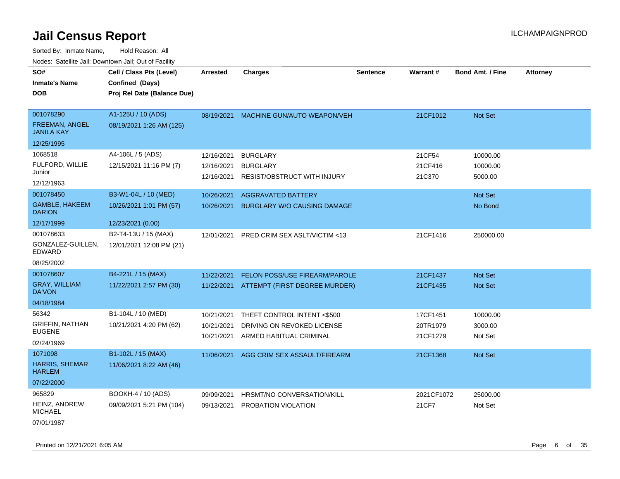Sorted By: Inmate Name, Hold Reason: All Nodes: Satellite Jail; Downtown Jail; Out of Facility

| SO#<br><b>Inmate's Name</b><br><b>DOB</b>                         | Cell / Class Pts (Level)<br>Confined (Days)<br>Proj Rel Date (Balance Due) | <b>Arrested</b>                        | <b>Charges</b>                                                                       | <b>Sentence</b> | Warrant#                         | <b>Bond Amt. / Fine</b>          | <b>Attorney</b> |
|-------------------------------------------------------------------|----------------------------------------------------------------------------|----------------------------------------|--------------------------------------------------------------------------------------|-----------------|----------------------------------|----------------------------------|-----------------|
| 001078290<br>FREEMAN, ANGEL<br><b>JANILA KAY</b><br>12/25/1995    | A1-125U / 10 (ADS)<br>08/19/2021 1:26 AM (125)                             | 08/19/2021                             | MACHINE GUN/AUTO WEAPON/VEH                                                          |                 | 21CF1012                         | Not Set                          |                 |
| 1068518<br>FULFORD, WILLIE<br>Junior<br>12/12/1963                | A4-106L / 5 (ADS)<br>12/15/2021 11:16 PM (7)                               | 12/16/2021<br>12/16/2021<br>12/16/2021 | <b>BURGLARY</b><br><b>BURGLARY</b><br><b>RESIST/OBSTRUCT WITH INJURY</b>             |                 | 21CF54<br>21CF416<br>21C370      | 10000.00<br>10000.00<br>5000.00  |                 |
| 001078450<br><b>GAMBLE, HAKEEM</b><br><b>DARION</b><br>12/17/1999 | B3-W1-04L / 10 (MED)<br>10/26/2021 1:01 PM (57)<br>12/23/2021 (0.00)       | 10/26/2021<br>10/26/2021               | <b>AGGRAVATED BATTERY</b><br><b>BURGLARY W/O CAUSING DAMAGE</b>                      |                 |                                  | <b>Not Set</b><br>No Bond        |                 |
| 001078633<br>GONZALEZ-GUILLEN,<br><b>EDWARD</b><br>08/25/2002     | B2-T4-13U / 15 (MAX)<br>12/01/2021 12:08 PM (21)                           | 12/01/2021                             | PRED CRIM SEX ASLT/VICTIM <13                                                        |                 | 21CF1416                         | 250000.00                        |                 |
| 001078607<br><b>GRAY, WILLIAM</b><br><b>DA'VON</b><br>04/18/1984  | B4-221L / 15 (MAX)<br>11/22/2021 2:57 PM (30)                              | 11/22/2021<br>11/22/2021               | FELON POSS/USE FIREARM/PAROLE<br>ATTEMPT (FIRST DEGREE MURDER)                       |                 | 21CF1437<br>21CF1435             | <b>Not Set</b><br><b>Not Set</b> |                 |
| 56342<br><b>GRIFFIN, NATHAN</b><br><b>EUGENE</b><br>02/24/1969    | B1-104L / 10 (MED)<br>10/21/2021 4:20 PM (62)                              | 10/21/2021<br>10/21/2021<br>10/21/2021 | THEFT CONTROL INTENT <\$500<br>DRIVING ON REVOKED LICENSE<br>ARMED HABITUAL CRIMINAL |                 | 17CF1451<br>20TR1979<br>21CF1279 | 10000.00<br>3000.00<br>Not Set   |                 |
| 1071098<br><b>HARRIS, SHEMAR</b><br><b>HARLEM</b><br>07/22/2000   | B1-102L / 15 (MAX)<br>11/06/2021 8:22 AM (46)                              | 11/06/2021                             | AGG CRIM SEX ASSAULT/FIREARM                                                         |                 | 21CF1368                         | Not Set                          |                 |
| 965829<br>HEINZ, ANDREW<br><b>MICHAEL</b>                         | BOOKH-4 / 10 (ADS)<br>09/09/2021 5:21 PM (104)                             | 09/09/2021<br>09/13/2021               | HRSMT/NO CONVERSATION/KILL<br>PROBATION VIOLATION                                    |                 | 2021CF1072<br>21CF7              | 25000.00<br>Not Set              |                 |

07/01/1987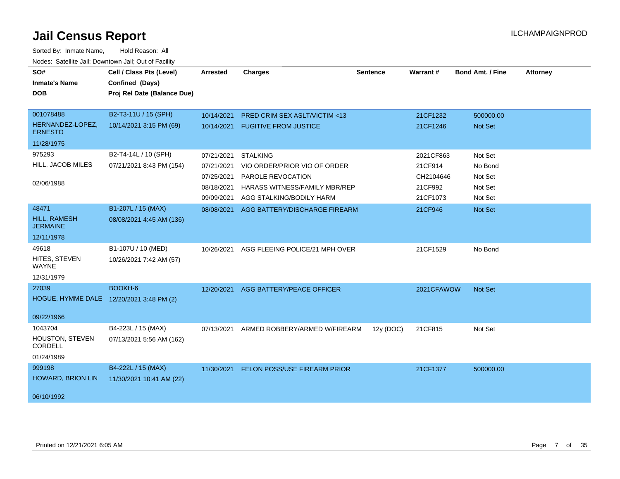| SO#<br><b>Inmate's Name</b><br><b>DOB</b> | Cell / Class Pts (Level)<br>Confined (Days)<br>Proj Rel Date (Balance Due) | <b>Arrested</b> | <b>Charges</b>                       | <b>Sentence</b> | Warrant#   | <b>Bond Amt. / Fine</b> | <b>Attorney</b> |
|-------------------------------------------|----------------------------------------------------------------------------|-----------------|--------------------------------------|-----------------|------------|-------------------------|-----------------|
| 001078488                                 | B2-T3-11U / 15 (SPH)                                                       | 10/14/2021      | PRED CRIM SEX ASLT/VICTIM <13        |                 | 21CF1232   | 500000.00               |                 |
| HERNANDEZ-LOPEZ,<br><b>ERNESTO</b>        | 10/14/2021 3:15 PM (69)                                                    | 10/14/2021      | <b>FUGITIVE FROM JUSTICE</b>         |                 | 21CF1246   | Not Set                 |                 |
| 11/28/1975                                |                                                                            |                 |                                      |                 |            |                         |                 |
| 975293                                    | B2-T4-14L / 10 (SPH)                                                       | 07/21/2021      | <b>STALKING</b>                      |                 | 2021CF863  | Not Set                 |                 |
| HILL, JACOB MILES                         | 07/21/2021 8:43 PM (154)                                                   | 07/21/2021      | VIO ORDER/PRIOR VIO OF ORDER         |                 | 21CF914    | No Bond                 |                 |
|                                           |                                                                            | 07/25/2021      | PAROLE REVOCATION                    |                 | CH2104646  | Not Set                 |                 |
| 02/06/1988                                |                                                                            | 08/18/2021      | HARASS WITNESS/FAMILY MBR/REP        |                 | 21CF992    | Not Set                 |                 |
|                                           |                                                                            | 09/09/2021      | AGG STALKING/BODILY HARM             |                 | 21CF1073   | Not Set                 |                 |
| 48471                                     | B1-207L / 15 (MAX)                                                         | 08/08/2021      | AGG BATTERY/DISCHARGE FIREARM        |                 | 21CF946    | Not Set                 |                 |
| <b>HILL, RAMESH</b><br><b>JERMAINE</b>    | 08/08/2021 4:45 AM (136)                                                   |                 |                                      |                 |            |                         |                 |
| 12/11/1978                                |                                                                            |                 |                                      |                 |            |                         |                 |
| 49618                                     | B1-107U / 10 (MED)                                                         | 10/26/2021      | AGG FLEEING POLICE/21 MPH OVER       |                 | 21CF1529   | No Bond                 |                 |
| HITES, STEVEN<br>WAYNE                    | 10/26/2021 7:42 AM (57)                                                    |                 |                                      |                 |            |                         |                 |
| 12/31/1979                                |                                                                            |                 |                                      |                 |            |                         |                 |
| 27039                                     | BOOKH-6                                                                    |                 | 12/20/2021 AGG BATTERY/PEACE OFFICER |                 | 2021CFAWOW | Not Set                 |                 |
| HOGUE, HYMME DALE 12/20/2021 3:48 PM (2)  |                                                                            |                 |                                      |                 |            |                         |                 |
| 09/22/1966                                |                                                                            |                 |                                      |                 |            |                         |                 |
| 1043704                                   | B4-223L / 15 (MAX)                                                         | 07/13/2021      | ARMED ROBBERY/ARMED W/FIREARM        | 12y (DOC)       | 21CF815    | Not Set                 |                 |
| HOUSTON, STEVEN<br>CORDELL                | 07/13/2021 5:56 AM (162)                                                   |                 |                                      |                 |            |                         |                 |
| 01/24/1989                                |                                                                            |                 |                                      |                 |            |                         |                 |
| 999198                                    | B4-222L / 15 (MAX)                                                         | 11/30/2021      | <b>FELON POSS/USE FIREARM PRIOR</b>  |                 | 21CF1377   | 500000.00               |                 |
| <b>HOWARD, BRION LIN</b>                  | 11/30/2021 10:41 AM (22)                                                   |                 |                                      |                 |            |                         |                 |
| 06/10/1992                                |                                                                            |                 |                                      |                 |            |                         |                 |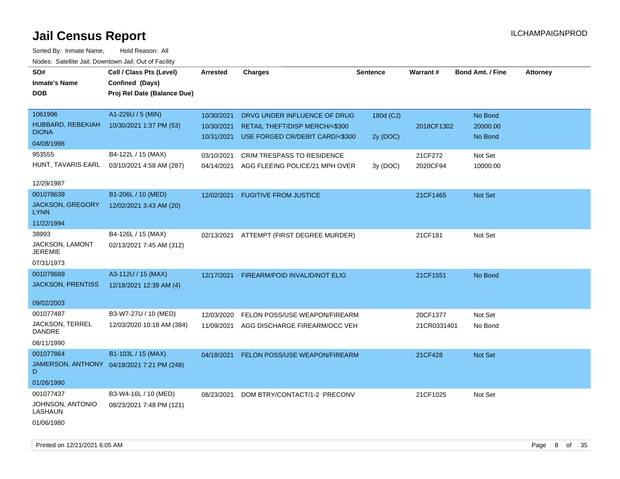| SO#<br><b>Inmate's Name</b><br><b>DOB</b> | Cell / Class Pts (Level)<br>Confined (Days)<br>Proj Rel Date (Balance Due) | <b>Arrested</b>          | <b>Charges</b>                                                    | <b>Sentence</b> | Warrant#    | <b>Bond Amt. / Fine</b> | Attorney |
|-------------------------------------------|----------------------------------------------------------------------------|--------------------------|-------------------------------------------------------------------|-----------------|-------------|-------------------------|----------|
| 1061996                                   | A1-226U / 5 (MIN)                                                          | 10/30/2021               | DRVG UNDER INFLUENCE OF DRUG                                      | 180d (CJ)       |             | No Bond                 |          |
| HUBBARD, REBEKIAH<br><b>DIONA</b>         | 10/30/2021 1:37 PM (53)                                                    | 10/30/2021<br>10/31/2021 | RETAIL THEFT/DISP MERCH/<\$300<br>USE FORGED CR/DEBIT CARD/<\$300 |                 | 2018CF1302  | 20000.00<br>No Bond     |          |
| 04/08/1998                                |                                                                            |                          |                                                                   | 2y (DOC)        |             |                         |          |
| 953555                                    | B4-122L / 15 (MAX)                                                         | 03/10/2021               | CRIM TRESPASS TO RESIDENCE                                        |                 | 21CF272     | Not Set                 |          |
| HUNT, TAVARIS EARL                        | 03/10/2021 4:58 AM (287)                                                   | 04/14/2021               | AGG FLEEING POLICE/21 MPH OVER                                    | 3y (DOC)        | 2020CF94    | 10000.00                |          |
| 12/29/1987                                |                                                                            |                          |                                                                   |                 |             |                         |          |
| 001078639                                 | B1-206L / 10 (MED)                                                         | 12/02/2021               | <b>FUGITIVE FROM JUSTICE</b>                                      |                 | 21CF1465    | Not Set                 |          |
| JACKSON, GREGORY<br><b>LYNN</b>           | 12/02/2021 3:43 AM (20)                                                    |                          |                                                                   |                 |             |                         |          |
| 11/22/1994                                |                                                                            |                          |                                                                   |                 |             |                         |          |
| 38993                                     | B4-126L / 15 (MAX)                                                         | 02/13/2021               | ATTEMPT (FIRST DEGREE MURDER)                                     |                 | 21CF181     | Not Set                 |          |
| JACKSON, LAMONT<br><b>JEREMIE</b>         | 02/13/2021 7:45 AM (312)                                                   |                          |                                                                   |                 |             |                         |          |
| 07/31/1973                                |                                                                            |                          |                                                                   |                 |             |                         |          |
| 001078689                                 | A3-112U / 15 (MAX)                                                         | 12/17/2021               | FIREARM/FOID INVALID/NOT ELIG                                     |                 | 21CF1551    | No Bond                 |          |
| <b>JACKSON, PRENTISS</b>                  | 12/18/2021 12:39 AM (4)                                                    |                          |                                                                   |                 |             |                         |          |
| 09/02/2003                                |                                                                            |                          |                                                                   |                 |             |                         |          |
| 001077487                                 | B3-W7-27U / 10 (MED)                                                       | 12/03/2020               | FELON POSS/USE WEAPON/FIREARM                                     |                 | 20CF1377    | Not Set                 |          |
| <b>JACKSON, TERREL</b><br>DANDRE          | 12/03/2020 10:18 AM (384)                                                  | 11/09/2021               | AGG DISCHARGE FIREARM/OCC VEH                                     |                 | 21CR0331401 | No Bond                 |          |
| 08/11/1990                                |                                                                            |                          |                                                                   |                 |             |                         |          |
| 001077864                                 | B1-103L / 15 (MAX)                                                         |                          | 04/18/2021 FELON POSS/USE WEAPON/FIREARM                          |                 | 21CF428     | Not Set                 |          |
| D                                         | JAMERSON, ANTHONY 04/18/2021 7:21 PM (248)                                 |                          |                                                                   |                 |             |                         |          |
| 01/26/1990                                |                                                                            |                          |                                                                   |                 |             |                         |          |
| 001077437                                 | B3-W4-16L / 10 (MED)                                                       | 08/23/2021               | DOM BTRY/CONTACT/1-2 PRECONV                                      |                 | 21CF1025    | Not Set                 |          |
| JOHNSON, ANTONIO<br>LASHAUN               | 08/23/2021 7:48 PM (121)                                                   |                          |                                                                   |                 |             |                         |          |
| 01/06/1980                                |                                                                            |                          |                                                                   |                 |             |                         |          |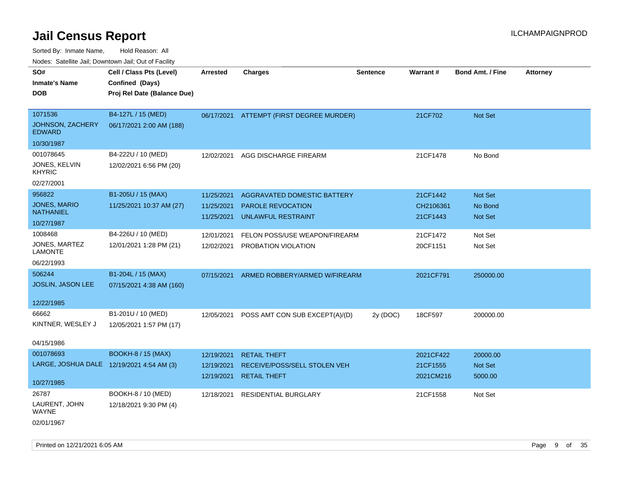| Nodes. Satellite Jali, Downtown Jali, Out of Facility |                             |                 |                                    |                 |           |                         |                 |
|-------------------------------------------------------|-----------------------------|-----------------|------------------------------------|-----------------|-----------|-------------------------|-----------------|
| SO#                                                   | Cell / Class Pts (Level)    | <b>Arrested</b> | <b>Charges</b>                     | <b>Sentence</b> | Warrant#  | <b>Bond Amt. / Fine</b> | <b>Attorney</b> |
| <b>Inmate's Name</b>                                  | Confined (Days)             |                 |                                    |                 |           |                         |                 |
| DOB                                                   | Proj Rel Date (Balance Due) |                 |                                    |                 |           |                         |                 |
|                                                       |                             |                 |                                    |                 |           |                         |                 |
| 1071536                                               | B4-127L / 15 (MED)          | 06/17/2021      | ATTEMPT (FIRST DEGREE MURDER)      |                 | 21CF702   | Not Set                 |                 |
| <b>JOHNSON, ZACHERY</b><br><b>EDWARD</b>              | 06/17/2021 2:00 AM (188)    |                 |                                    |                 |           |                         |                 |
| 10/30/1987                                            |                             |                 |                                    |                 |           |                         |                 |
| 001078645                                             | B4-222U / 10 (MED)          | 12/02/2021      | AGG DISCHARGE FIREARM              |                 | 21CF1478  | No Bond                 |                 |
| JONES, KELVIN<br><b>KHYRIC</b>                        | 12/02/2021 6:56 PM (20)     |                 |                                    |                 |           |                         |                 |
| 02/27/2001                                            |                             |                 |                                    |                 |           |                         |                 |
| 956822                                                | B1-205U / 15 (MAX)          | 11/25/2021      | <b>AGGRAVATED DOMESTIC BATTERY</b> |                 | 21CF1442  | Not Set                 |                 |
| <b>JONES, MARIO</b>                                   | 11/25/2021 10:37 AM (27)    | 11/25/2021      | <b>PAROLE REVOCATION</b>           |                 | CH2106361 | No Bond                 |                 |
| <b>NATHANIEL</b>                                      |                             | 11/25/2021      | <b>UNLAWFUL RESTRAINT</b>          |                 | 21CF1443  | <b>Not Set</b>          |                 |
| 10/27/1987                                            |                             |                 |                                    |                 |           |                         |                 |
| 1008468                                               | B4-226U / 10 (MED)          | 12/01/2021      | FELON POSS/USE WEAPON/FIREARM      |                 | 21CF1472  | Not Set                 |                 |
| JONES, MARTEZ<br>LAMONTE                              | 12/01/2021 1:28 PM (21)     | 12/02/2021      | PROBATION VIOLATION                |                 | 20CF1151  | Not Set                 |                 |
| 06/22/1993                                            |                             |                 |                                    |                 |           |                         |                 |
| 506244                                                | B1-204L / 15 (MAX)          | 07/15/2021      | ARMED ROBBERY/ARMED W/FIREARM      |                 | 2021CF791 | 250000.00               |                 |
| JOSLIN, JASON LEE                                     | 07/15/2021 4:38 AM (160)    |                 |                                    |                 |           |                         |                 |
|                                                       |                             |                 |                                    |                 |           |                         |                 |
| 12/22/1985                                            |                             |                 |                                    |                 |           |                         |                 |
| 66662                                                 | B1-201U / 10 (MED)          | 12/05/2021      | POSS AMT CON SUB EXCEPT(A)/(D)     | 2y (DOC)        | 18CF597   | 200000.00               |                 |
| KINTNER, WESLEY J                                     | 12/05/2021 1:57 PM (17)     |                 |                                    |                 |           |                         |                 |
|                                                       |                             |                 |                                    |                 |           |                         |                 |
| 04/15/1986                                            |                             |                 |                                    |                 |           |                         |                 |
| 001078693                                             | <b>BOOKH-8 / 15 (MAX)</b>   | 12/19/2021      | <b>RETAIL THEFT</b>                |                 | 2021CF422 | 20000.00                |                 |
| LARGE, JOSHUA DALE 12/19/2021 4:54 AM (3)             |                             | 12/19/2021      | RECEIVE/POSS/SELL STOLEN VEH       |                 | 21CF1555  | <b>Not Set</b>          |                 |
| 10/27/1985                                            |                             | 12/19/2021      | <b>RETAIL THEFT</b>                |                 | 2021CM216 | 5000.00                 |                 |
| 26787                                                 | BOOKH-8 / 10 (MED)          | 12/18/2021      | <b>RESIDENTIAL BURGLARY</b>        |                 | 21CF1558  | Not Set                 |                 |
| LAURENT, JOHN<br><b>WAYNE</b>                         | 12/18/2021 9:30 PM (4)      |                 |                                    |                 |           |                         |                 |
| 02/01/1967                                            |                             |                 |                                    |                 |           |                         |                 |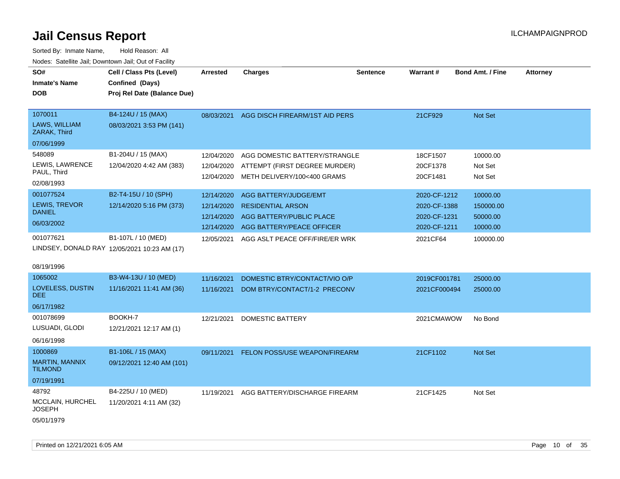Sorted By: Inmate Name, Hold Reason: All Nodes: Satellite Jail; Downtown Jail; Out of Facility

| Nodes: Satellite Jail; Downtown Jail; Out of Facility |                                              |            |                                      |                 |              |                         |                 |
|-------------------------------------------------------|----------------------------------------------|------------|--------------------------------------|-----------------|--------------|-------------------------|-----------------|
| SO#                                                   | Cell / Class Pts (Level)                     | Arrested   | <b>Charges</b>                       | <b>Sentence</b> | Warrant#     | <b>Bond Amt. / Fine</b> | <b>Attorney</b> |
| <b>Inmate's Name</b>                                  | Confined (Days)                              |            |                                      |                 |              |                         |                 |
| <b>DOB</b>                                            | Proj Rel Date (Balance Due)                  |            |                                      |                 |              |                         |                 |
|                                                       |                                              |            |                                      |                 |              |                         |                 |
| 1070011                                               | B4-124U / 15 (MAX)                           | 08/03/2021 | AGG DISCH FIREARM/1ST AID PERS       |                 | 21CF929      | Not Set                 |                 |
| LAWS, WILLIAM<br>ZARAK, Third                         | 08/03/2021 3:53 PM (141)                     |            |                                      |                 |              |                         |                 |
| 07/06/1999                                            |                                              |            |                                      |                 |              |                         |                 |
| 548089                                                | B1-204U / 15 (MAX)                           | 12/04/2020 | AGG DOMESTIC BATTERY/STRANGLE        |                 | 18CF1507     | 10000.00                |                 |
| LEWIS, LAWRENCE                                       | 12/04/2020 4:42 AM (383)                     | 12/04/2020 | ATTEMPT (FIRST DEGREE MURDER)        |                 | 20CF1378     | Not Set                 |                 |
| PAUL, Third                                           |                                              | 12/04/2020 | METH DELIVERY/100<400 GRAMS          |                 | 20CF1481     | Not Set                 |                 |
| 02/08/1993                                            |                                              |            |                                      |                 |              |                         |                 |
| 001077524                                             | B2-T4-15U / 10 (SPH)                         | 12/14/2020 | AGG BATTERY/JUDGE/EMT                |                 | 2020-CF-1212 | 10000.00                |                 |
| LEWIS, TREVOR<br><b>DANIEL</b>                        | 12/14/2020 5:16 PM (373)                     | 12/14/2020 | <b>RESIDENTIAL ARSON</b>             |                 | 2020-CF-1388 | 150000.00               |                 |
| 06/03/2002                                            |                                              | 12/14/2020 | AGG BATTERY/PUBLIC PLACE             |                 | 2020-CF-1231 | 50000.00                |                 |
|                                                       |                                              | 12/14/2020 | AGG BATTERY/PEACE OFFICER            |                 | 2020-CF-1211 | 10000.00                |                 |
| 001077621                                             | B1-107L / 10 (MED)                           | 12/05/2021 | AGG ASLT PEACE OFF/FIRE/ER WRK       |                 | 2021CF64     | 100000.00               |                 |
|                                                       | LINDSEY, DONALD RAY 12/05/2021 10:23 AM (17) |            |                                      |                 |              |                         |                 |
| 08/19/1996                                            |                                              |            |                                      |                 |              |                         |                 |
| 1065002                                               |                                              |            |                                      |                 |              |                         |                 |
| LOVELESS, DUSTIN                                      | B3-W4-13U / 10 (MED)                         | 11/16/2021 | DOMESTIC BTRY/CONTACT/VIO O/P        |                 | 2019CF001781 | 25000.00                |                 |
| <b>DEE</b>                                            | 11/16/2021 11:41 AM (36)                     | 11/16/2021 | DOM BTRY/CONTACT/1-2 PRECONV         |                 | 2021CF000494 | 25000.00                |                 |
| 06/17/1982                                            |                                              |            |                                      |                 |              |                         |                 |
| 001078699                                             | BOOKH-7                                      | 12/21/2021 | <b>DOMESTIC BATTERY</b>              |                 | 2021CMAWOW   | No Bond                 |                 |
| LUSUADI, GLODI                                        | 12/21/2021 12:17 AM (1)                      |            |                                      |                 |              |                         |                 |
| 06/16/1998                                            |                                              |            |                                      |                 |              |                         |                 |
| 1000869                                               | B1-106L / 15 (MAX)                           | 09/11/2021 | <b>FELON POSS/USE WEAPON/FIREARM</b> |                 | 21CF1102     | Not Set                 |                 |
| <b>MARTIN, MANNIX</b><br><b>TILMOND</b>               | 09/12/2021 12:40 AM (101)                    |            |                                      |                 |              |                         |                 |
| 07/19/1991                                            |                                              |            |                                      |                 |              |                         |                 |

11/19/2021 AGG BATTERY/DISCHARGE FIREARM 21CF1425 Not Set

MCCLAIN, HURCHEL 48792 B4-225U / 10 (MED) 11/20/2021 4:11 AM (32)

JOSEPH

05/01/1979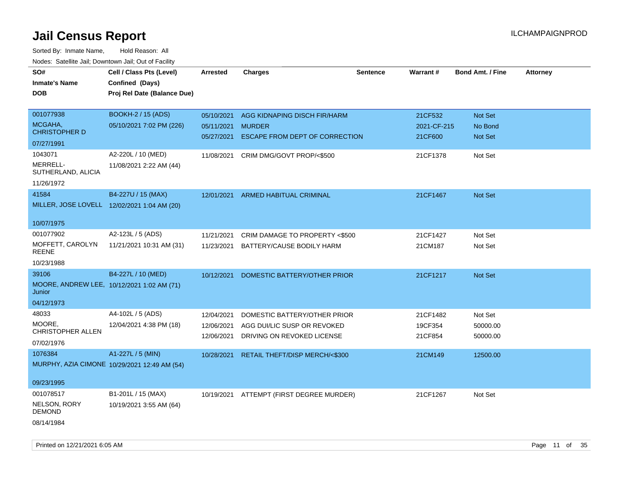| SO#                                                  | Cell / Class Pts (Level)                     | <b>Arrested</b> | <b>Charges</b>                           | <b>Sentence</b> | Warrant#    | <b>Bond Amt. / Fine</b> | <b>Attorney</b> |
|------------------------------------------------------|----------------------------------------------|-----------------|------------------------------------------|-----------------|-------------|-------------------------|-----------------|
| <b>Inmate's Name</b>                                 | Confined (Days)                              |                 |                                          |                 |             |                         |                 |
| <b>DOB</b>                                           | Proj Rel Date (Balance Due)                  |                 |                                          |                 |             |                         |                 |
|                                                      |                                              |                 |                                          |                 |             |                         |                 |
| 001077938                                            | <b>BOOKH-2 / 15 (ADS)</b>                    | 05/10/2021      | AGG KIDNAPING DISCH FIR/HARM             |                 | 21CF532     | Not Set                 |                 |
| MCGAHA,                                              | 05/10/2021 7:02 PM (226)                     | 05/11/2021      | <b>MURDER</b>                            |                 | 2021-CF-215 | No Bond                 |                 |
| <b>CHRISTOPHER D</b>                                 |                                              | 05/27/2021      | ESCAPE FROM DEPT OF CORRECTION           |                 | 21CF600     | Not Set                 |                 |
| 07/27/1991                                           |                                              |                 |                                          |                 |             |                         |                 |
| 1043071                                              | A2-220L / 10 (MED)                           |                 | 11/08/2021 CRIM DMG/GOVT PROP/<\$500     |                 | 21CF1378    | Not Set                 |                 |
| MERRELL-<br>SUTHERLAND, ALICIA                       | 11/08/2021 2:22 AM (44)                      |                 |                                          |                 |             |                         |                 |
| 11/26/1972                                           |                                              |                 |                                          |                 |             |                         |                 |
| 41584                                                | B4-227U / 15 (MAX)                           |                 | 12/01/2021 ARMED HABITUAL CRIMINAL       |                 | 21CF1467    | Not Set                 |                 |
| MILLER, JOSE LOVELL 12/02/2021 1:04 AM (20)          |                                              |                 |                                          |                 |             |                         |                 |
| 10/07/1975                                           |                                              |                 |                                          |                 |             |                         |                 |
| 001077902                                            | A2-123L / 5 (ADS)                            | 11/21/2021      | CRIM DAMAGE TO PROPERTY <\$500           |                 | 21CF1427    | Not Set                 |                 |
| MOFFETT, CAROLYN<br><b>REENE</b>                     | 11/21/2021 10:31 AM (31)                     | 11/23/2021      | BATTERY/CAUSE BODILY HARM                |                 | 21CM187     | Not Set                 |                 |
| 10/23/1988                                           |                                              |                 |                                          |                 |             |                         |                 |
| 39106                                                | B4-227L / 10 (MED)                           | 10/12/2021      | DOMESTIC BATTERY/OTHER PRIOR             |                 | 21CF1217    | Not Set                 |                 |
| MOORE, ANDREW LEE, 10/12/2021 1:02 AM (71)<br>Junior |                                              |                 |                                          |                 |             |                         |                 |
| 04/12/1973                                           |                                              |                 |                                          |                 |             |                         |                 |
| 48033                                                | A4-102L / 5 (ADS)                            | 12/04/2021      | DOMESTIC BATTERY/OTHER PRIOR             |                 | 21CF1482    | Not Set                 |                 |
| MOORE,                                               | 12/04/2021 4:38 PM (18)                      | 12/06/2021      | AGG DUI/LIC SUSP OR REVOKED              |                 | 19CF354     | 50000.00                |                 |
| <b>CHRISTOPHER ALLEN</b>                             |                                              | 12/06/2021      | DRIVING ON REVOKED LICENSE               |                 | 21CF854     | 50000.00                |                 |
| 07/02/1976                                           |                                              |                 |                                          |                 |             |                         |                 |
| 1076384                                              | A1-227L / 5 (MIN)                            | 10/28/2021      | RETAIL THEFT/DISP MERCH/<\$300           |                 | 21CM149     | 12500.00                |                 |
|                                                      | MURPHY, AZIA CIMONE 10/29/2021 12:49 AM (54) |                 |                                          |                 |             |                         |                 |
|                                                      |                                              |                 |                                          |                 |             |                         |                 |
| 09/23/1995                                           |                                              |                 |                                          |                 |             |                         |                 |
| 001078517                                            | B1-201L / 15 (MAX)                           |                 | 10/19/2021 ATTEMPT (FIRST DEGREE MURDER) |                 | 21CF1267    | Not Set                 |                 |
| NELSON, RORY<br><b>DEMOND</b>                        | 10/19/2021 3:55 AM (64)                      |                 |                                          |                 |             |                         |                 |
| 08/14/1984                                           |                                              |                 |                                          |                 |             |                         |                 |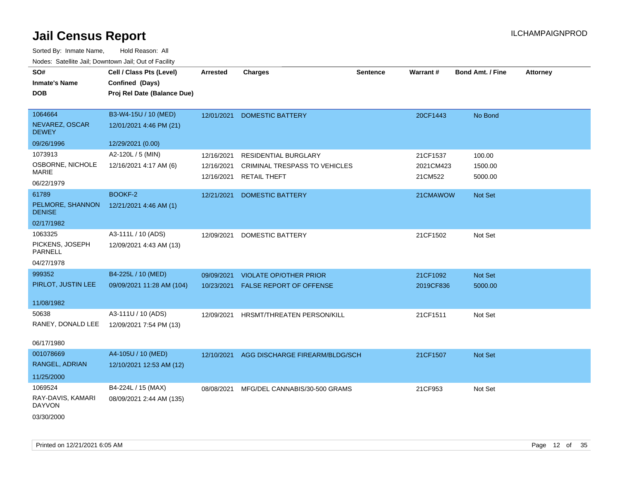| SO#<br><b>Inmate's Name</b><br><b>DOB</b>                   | Cell / Class Pts (Level)<br>Confined (Days)<br>Proj Rel Date (Balance Due) | <b>Arrested</b>                        | <b>Charges</b>                                                                      | <b>Sentence</b> | Warrant#                         | Bond Amt. / Fine             | <b>Attorney</b> |
|-------------------------------------------------------------|----------------------------------------------------------------------------|----------------------------------------|-------------------------------------------------------------------------------------|-----------------|----------------------------------|------------------------------|-----------------|
| 1064664<br>NEVAREZ, OSCAR<br><b>DEWEY</b>                   | B3-W4-15U / 10 (MED)<br>12/01/2021 4:46 PM (21)                            | 12/01/2021                             | <b>DOMESTIC BATTERY</b>                                                             |                 | 20CF1443                         | No Bond                      |                 |
| 09/26/1996                                                  | 12/29/2021 (0.00)                                                          |                                        |                                                                                     |                 |                                  |                              |                 |
| 1073913<br>OSBORNE, NICHOLE<br>MARIE<br>06/22/1979          | A2-120L / 5 (MIN)<br>12/16/2021 4:17 AM (6)                                | 12/16/2021<br>12/16/2021<br>12/16/2021 | RESIDENTIAL BURGLARY<br><b>CRIMINAL TRESPASS TO VEHICLES</b><br><b>RETAIL THEFT</b> |                 | 21CF1537<br>2021CM423<br>21CM522 | 100.00<br>1500.00<br>5000.00 |                 |
| 61789<br>PELMORE, SHANNON<br><b>DENISE</b><br>02/17/1982    | BOOKF-2<br>12/21/2021 4:46 AM (1)                                          | 12/21/2021                             | <b>DOMESTIC BATTERY</b>                                                             |                 | 21CMAWOW                         | Not Set                      |                 |
| 1063325<br>PICKENS, JOSEPH<br>PARNELL<br>04/27/1978         | A3-111L / 10 (ADS)<br>12/09/2021 4:43 AM (13)                              | 12/09/2021                             | DOMESTIC BATTERY                                                                    |                 | 21CF1502                         | Not Set                      |                 |
| 999352                                                      | B4-225L / 10 (MED)                                                         | 09/09/2021                             | <b>VIOLATE OP/OTHER PRIOR</b>                                                       |                 | 21CF1092                         | Not Set                      |                 |
| PIRLOT, JUSTIN LEE                                          | 09/09/2021 11:28 AM (104)                                                  | 10/23/2021                             | <b>FALSE REPORT OF OFFENSE</b>                                                      |                 | 2019CF836                        | 5000.00                      |                 |
| 11/08/1982<br>50638<br>RANEY, DONALD LEE<br>06/17/1980      | A3-111U / 10 (ADS)<br>12/09/2021 7:54 PM (13)                              | 12/09/2021                             | HRSMT/THREATEN PERSON/KILL                                                          |                 | 21CF1511                         | Not Set                      |                 |
| 001078669<br>RANGEL, ADRIAN<br>11/25/2000                   | A4-105U / 10 (MED)<br>12/10/2021 12:53 AM (12)                             | 12/10/2021                             | AGG DISCHARGE FIREARM/BLDG/SCH                                                      |                 | 21CF1507                         | <b>Not Set</b>               |                 |
| 1069524<br>RAY-DAVIS, KAMARI<br><b>DAYVON</b><br>03/30/2000 | B4-224L / 15 (MAX)<br>08/09/2021 2:44 AM (135)                             | 08/08/2021                             | MFG/DEL CANNABIS/30-500 GRAMS                                                       |                 | 21CF953                          | Not Set                      |                 |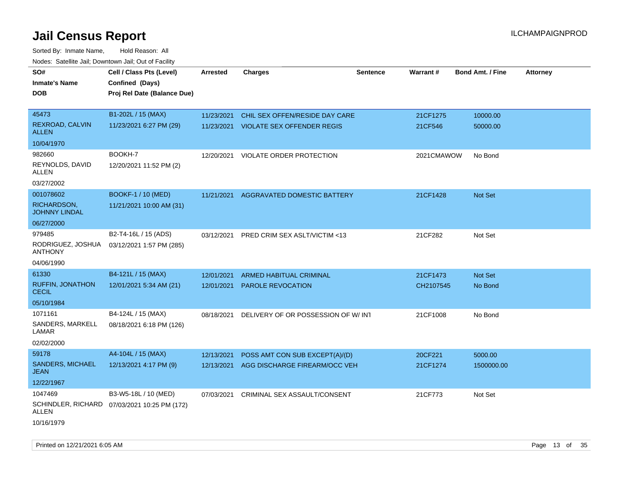Sorted By: Inmate Name, Hold Reason: All Nodes: Satellite Jail; Downtown Jail; Out of Facility

| Todoo. Catolino can, Bomnomii can, Cat of Faoint<br>SO#<br><b>Inmate's Name</b><br><b>DOB</b> | Cell / Class Pts (Level)<br>Confined (Days)<br>Proj Rel Date (Balance Due) | <b>Arrested</b>          | <b>Charges</b>                                                      | <b>Sentence</b> | Warrant#            | <b>Bond Amt. / Fine</b> | <b>Attorney</b> |
|-----------------------------------------------------------------------------------------------|----------------------------------------------------------------------------|--------------------------|---------------------------------------------------------------------|-----------------|---------------------|-------------------------|-----------------|
| 45473<br>REXROAD, CALVIN                                                                      | B1-202L / 15 (MAX)<br>11/23/2021 6:27 PM (29)                              | 11/23/2021<br>11/23/2021 | CHIL SEX OFFEN/RESIDE DAY CARE<br><b>VIOLATE SEX OFFENDER REGIS</b> |                 | 21CF1275<br>21CF546 | 10000.00<br>50000.00    |                 |
| <b>ALLEN</b>                                                                                  |                                                                            |                          |                                                                     |                 |                     |                         |                 |
| 10/04/1970                                                                                    |                                                                            |                          |                                                                     |                 |                     |                         |                 |
| 982660<br>REYNOLDS, DAVID<br>ALLEN                                                            | BOOKH-7<br>12/20/2021 11:52 PM (2)                                         | 12/20/2021               | VIOLATE ORDER PROTECTION                                            |                 | 2021CMAWOW          | No Bond                 |                 |
| 03/27/2002                                                                                    |                                                                            |                          |                                                                     |                 |                     |                         |                 |
| 001078602<br>RICHARDSON,<br><b>JOHNNY LINDAL</b>                                              | <b>BOOKF-1 / 10 (MED)</b><br>11/21/2021 10:00 AM (31)                      | 11/21/2021               | <b>AGGRAVATED DOMESTIC BATTERY</b>                                  |                 | 21CF1428            | <b>Not Set</b>          |                 |
| 06/27/2000                                                                                    |                                                                            |                          |                                                                     |                 |                     |                         |                 |
| 979485<br>RODRIGUEZ, JOSHUA<br><b>ANTHONY</b>                                                 | B2-T4-16L / 15 (ADS)<br>03/12/2021 1:57 PM (285)                           | 03/12/2021               | PRED CRIM SEX ASLT/VICTIM <13                                       |                 | 21CF282             | Not Set                 |                 |
| 04/06/1990                                                                                    |                                                                            |                          |                                                                     |                 |                     |                         |                 |
| 61330                                                                                         | B4-121L / 15 (MAX)                                                         | 12/01/2021               | ARMED HABITUAL CRIMINAL                                             |                 | 21CF1473            | Not Set                 |                 |
| <b>RUFFIN, JONATHON</b><br><b>CECIL</b>                                                       | 12/01/2021 5:34 AM (21)                                                    | 12/01/2021               | PAROLE REVOCATION                                                   |                 | CH2107545           | No Bond                 |                 |
| 05/10/1984                                                                                    |                                                                            |                          |                                                                     |                 |                     |                         |                 |
| 1071161                                                                                       | B4-124L / 15 (MAX)                                                         | 08/18/2021               | DELIVERY OF OR POSSESSION OF W/INT                                  |                 | 21CF1008            | No Bond                 |                 |
| SANDERS, MARKELL<br>LAMAR                                                                     | 08/18/2021 6:18 PM (126)                                                   |                          |                                                                     |                 |                     |                         |                 |
| 02/02/2000                                                                                    |                                                                            |                          |                                                                     |                 |                     |                         |                 |
| 59178                                                                                         | A4-104L / 15 (MAX)                                                         | 12/13/2021               | POSS AMT CON SUB EXCEPT(A)/(D)                                      |                 | 20CF221             | 5000.00                 |                 |
| SANDERS, MICHAEL<br>JEAN                                                                      | 12/13/2021 4:17 PM (9)                                                     | 12/13/2021               | AGG DISCHARGE FIREARM/OCC VEH                                       |                 | 21CF1274            | 1500000.00              |                 |
| 12/22/1967                                                                                    |                                                                            |                          |                                                                     |                 |                     |                         |                 |
| 1047469                                                                                       | B3-W5-18L / 10 (MED)                                                       | 07/03/2021               | CRIMINAL SEX ASSAULT/CONSENT                                        |                 | 21CF773             | Not Set                 |                 |
| ALLEN                                                                                         | SCHINDLER, RICHARD 07/03/2021 10:25 PM (172)                               |                          |                                                                     |                 |                     |                         |                 |
| 10/16/1979                                                                                    |                                                                            |                          |                                                                     |                 |                     |                         |                 |

Printed on  $12/21/2021$  6:05 AM Page 13 of 35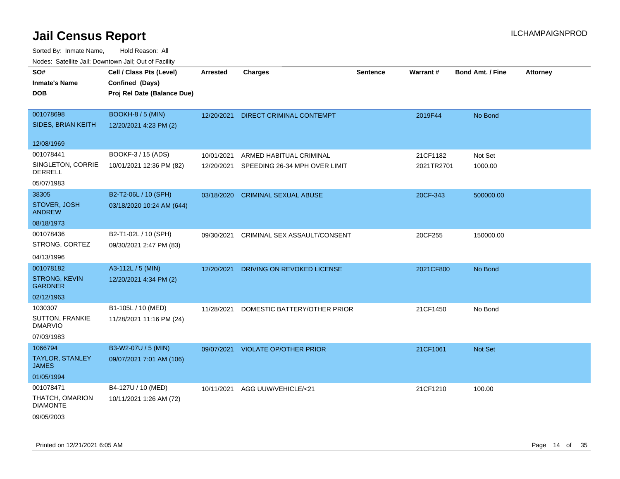| ivouss. Saleline Jali, Downtown Jali, Out of Facility |                             |                 |                                          |                 |                 |                         |                 |
|-------------------------------------------------------|-----------------------------|-----------------|------------------------------------------|-----------------|-----------------|-------------------------|-----------------|
| SO#                                                   | Cell / Class Pts (Level)    | <b>Arrested</b> | <b>Charges</b>                           | <b>Sentence</b> | <b>Warrant#</b> | <b>Bond Amt. / Fine</b> | <b>Attorney</b> |
| <b>Inmate's Name</b>                                  | Confined (Days)             |                 |                                          |                 |                 |                         |                 |
| <b>DOB</b>                                            | Proj Rel Date (Balance Due) |                 |                                          |                 |                 |                         |                 |
|                                                       |                             |                 |                                          |                 |                 |                         |                 |
| 001078698                                             | BOOKH-8 / 5 (MIN)           | 12/20/2021      | DIRECT CRIMINAL CONTEMPT                 |                 | 2019F44         | No Bond                 |                 |
| SIDES, BRIAN KEITH                                    | 12/20/2021 4:23 PM (2)      |                 |                                          |                 |                 |                         |                 |
| 12/08/1969                                            |                             |                 |                                          |                 |                 |                         |                 |
|                                                       |                             |                 |                                          |                 |                 |                         |                 |
| 001078441                                             | BOOKF-3 / 15 (ADS)          | 10/01/2021      | ARMED HABITUAL CRIMINAL                  |                 | 21CF1182        | Not Set                 |                 |
| SINGLETON, CORRIE<br>DERRELL                          | 10/01/2021 12:36 PM (82)    |                 | 12/20/2021 SPEEDING 26-34 MPH OVER LIMIT |                 | 2021TR2701      | 1000.00                 |                 |
| 05/07/1983                                            |                             |                 |                                          |                 |                 |                         |                 |
| 38305                                                 | B2-T2-06L / 10 (SPH)        | 03/18/2020      | <b>CRIMINAL SEXUAL ABUSE</b>             |                 | 20CF-343        | 500000.00               |                 |
| STOVER, JOSH<br><b>ANDREW</b>                         | 03/18/2020 10:24 AM (644)   |                 |                                          |                 |                 |                         |                 |
| 08/18/1973                                            |                             |                 |                                          |                 |                 |                         |                 |
| 001078436                                             | B2-T1-02L / 10 (SPH)        | 09/30/2021      | CRIMINAL SEX ASSAULT/CONSENT             |                 | 20CF255         | 150000.00               |                 |
| STRONG, CORTEZ                                        | 09/30/2021 2:47 PM (83)     |                 |                                          |                 |                 |                         |                 |
| 04/13/1996                                            |                             |                 |                                          |                 |                 |                         |                 |
| 001078182                                             | A3-112L / 5 (MIN)           | 12/20/2021      | DRIVING ON REVOKED LICENSE               |                 | 2021CF800       | No Bond                 |                 |
| <b>STRONG, KEVIN</b><br><b>GARDNER</b>                | 12/20/2021 4:34 PM (2)      |                 |                                          |                 |                 |                         |                 |
| 02/12/1963                                            |                             |                 |                                          |                 |                 |                         |                 |
| 1030307                                               | B1-105L / 10 (MED)          | 11/28/2021      | DOMESTIC BATTERY/OTHER PRIOR             |                 | 21CF1450        | No Bond                 |                 |
| SUTTON, FRANKIE<br><b>DMARVIO</b>                     | 11/28/2021 11:16 PM (24)    |                 |                                          |                 |                 |                         |                 |
| 07/03/1983                                            |                             |                 |                                          |                 |                 |                         |                 |
| 1066794                                               | B3-W2-07U / 5 (MIN)         | 09/07/2021      | <b>VIOLATE OP/OTHER PRIOR</b>            |                 | 21CF1061        | Not Set                 |                 |
| <b>TAYLOR, STANLEY</b><br><b>JAMES</b>                | 09/07/2021 7:01 AM (106)    |                 |                                          |                 |                 |                         |                 |
| 01/05/1994                                            |                             |                 |                                          |                 |                 |                         |                 |
| 001078471                                             | B4-127U / 10 (MED)          | 10/11/2021      | AGG UUW/VEHICLE/<21                      |                 | 21CF1210        | 100.00                  |                 |
| THATCH, OMARION<br><b>DIAMONTE</b>                    | 10/11/2021 1:26 AM (72)     |                 |                                          |                 |                 |                         |                 |
| 09/05/2003                                            |                             |                 |                                          |                 |                 |                         |                 |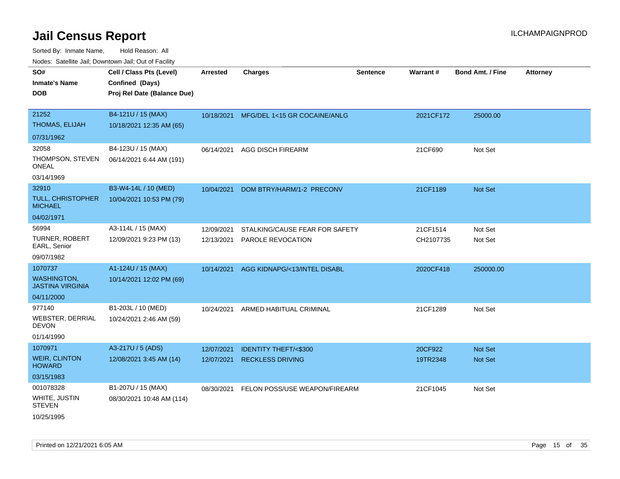| ivouss. Satellite Jali, Downtown Jali, Out of Facility |                             |                 |                                         |                 |           |                         |                 |
|--------------------------------------------------------|-----------------------------|-----------------|-----------------------------------------|-----------------|-----------|-------------------------|-----------------|
| SO#                                                    | Cell / Class Pts (Level)    | <b>Arrested</b> | <b>Charges</b>                          | <b>Sentence</b> | Warrant#  | <b>Bond Amt. / Fine</b> | <b>Attorney</b> |
| <b>Inmate's Name</b>                                   | Confined (Days)             |                 |                                         |                 |           |                         |                 |
| <b>DOB</b>                                             | Proj Rel Date (Balance Due) |                 |                                         |                 |           |                         |                 |
|                                                        |                             |                 |                                         |                 |           |                         |                 |
| 21252                                                  | B4-121U / 15 (MAX)          |                 | 10/18/2021 MFG/DEL 1<15 GR COCAINE/ANLG |                 | 2021CF172 | 25000.00                |                 |
| THOMAS, ELIJAH                                         | 10/18/2021 12:35 AM (65)    |                 |                                         |                 |           |                         |                 |
| 07/31/1962                                             |                             |                 |                                         |                 |           |                         |                 |
| 32058                                                  | B4-123U / 15 (MAX)          | 06/14/2021      | AGG DISCH FIREARM                       |                 | 21CF690   | Not Set                 |                 |
| THOMPSON, STEVEN<br>ONEAL                              | 06/14/2021 6:44 AM (191)    |                 |                                         |                 |           |                         |                 |
| 03/14/1969                                             |                             |                 |                                         |                 |           |                         |                 |
| 32910                                                  | B3-W4-14L / 10 (MED)        | 10/04/2021      | DOM BTRY/HARM/1-2 PRECONV               |                 | 21CF1189  | <b>Not Set</b>          |                 |
| TULL, CHRISTOPHER<br>MICHAEL                           | 10/04/2021 10:53 PM (79)    |                 |                                         |                 |           |                         |                 |
| 04/02/1971                                             |                             |                 |                                         |                 |           |                         |                 |
| 56994                                                  | A3-114L / 15 (MAX)          | 12/09/2021      | STALKING/CAUSE FEAR FOR SAFETY          |                 | 21CF1514  | Not Set                 |                 |
| TURNER, ROBERT<br>EARL, Senior                         | 12/09/2021 9:23 PM (13)     | 12/13/2021      | PAROLE REVOCATION                       |                 | CH2107735 | Not Set                 |                 |
| 09/07/1982                                             |                             |                 |                                         |                 |           |                         |                 |
| 1070737                                                | A1-124U / 15 (MAX)          | 10/14/2021      | AGG KIDNAPG/<13/INTEL DISABL            |                 | 2020CF418 | 250000.00               |                 |
| <b>WASHINGTON,</b><br>JASTINA VIRGINIA                 | 10/14/2021 12:02 PM (69)    |                 |                                         |                 |           |                         |                 |
| 04/11/2000                                             |                             |                 |                                         |                 |           |                         |                 |
| 977140                                                 | B1-203L / 10 (MED)          | 10/24/2021      | ARMED HABITUAL CRIMINAL                 |                 | 21CF1289  | Not Set                 |                 |
| WEBSTER, DERRIAL<br>DEVON                              | 10/24/2021 2:46 AM (59)     |                 |                                         |                 |           |                         |                 |
| 01/14/1990                                             |                             |                 |                                         |                 |           |                         |                 |
| 1070971                                                | A3-217U / 5 (ADS)           | 12/07/2021      | <b>IDENTITY THEFT/&lt;\$300</b>         |                 | 20CF922   | Not Set                 |                 |
| WEIR, CLINTON<br><b>HOWARD</b>                         | 12/08/2021 3:45 AM (14)     | 12/07/2021      | <b>RECKLESS DRIVING</b>                 |                 | 19TR2348  | <b>Not Set</b>          |                 |
| 03/15/1983                                             |                             |                 |                                         |                 |           |                         |                 |
| 001078328                                              | B1-207U / 15 (MAX)          | 08/30/2021      | FELON POSS/USE WEAPON/FIREARM           |                 | 21CF1045  | Not Set                 |                 |
| WHITE, JUSTIN<br><b>STEVEN</b>                         | 08/30/2021 10:48 AM (114)   |                 |                                         |                 |           |                         |                 |
| 10/25/1995                                             |                             |                 |                                         |                 |           |                         |                 |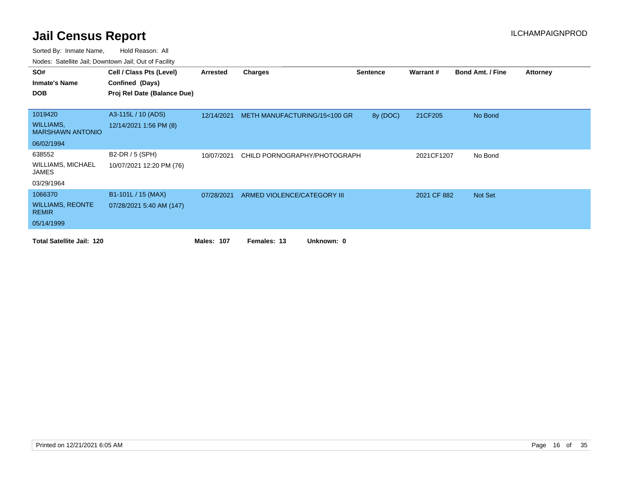| SO#                                         | Cell / Class Pts (Level)    | Arrested          | Charges                      | <b>Sentence</b> | Warrant#    | <b>Bond Amt. / Fine</b> | <b>Attorney</b> |
|---------------------------------------------|-----------------------------|-------------------|------------------------------|-----------------|-------------|-------------------------|-----------------|
| <b>Inmate's Name</b>                        | Confined (Days)             |                   |                              |                 |             |                         |                 |
| <b>DOB</b>                                  | Proj Rel Date (Balance Due) |                   |                              |                 |             |                         |                 |
|                                             |                             |                   |                              |                 |             |                         |                 |
| 1019420                                     | A3-115L / 10 (ADS)          | 12/14/2021        | METH MANUFACTURING/15<100 GR | 8y (DOC)        | 21CF205     | No Bond                 |                 |
| <b>WILLIAMS,</b><br><b>MARSHAWN ANTONIO</b> | 12/14/2021 1:56 PM (8)      |                   |                              |                 |             |                         |                 |
| 06/02/1994                                  |                             |                   |                              |                 |             |                         |                 |
| 638552                                      | B2-DR / 5 (SPH)             | 10/07/2021        | CHILD PORNOGRAPHY/PHOTOGRAPH |                 | 2021CF1207  | No Bond                 |                 |
| WILLIAMS, MICHAEL<br>JAMES                  | 10/07/2021 12:20 PM (76)    |                   |                              |                 |             |                         |                 |
| 03/29/1964                                  |                             |                   |                              |                 |             |                         |                 |
| 1066370                                     | B1-101L / 15 (MAX)          | 07/28/2021        | ARMED VIOLENCE/CATEGORY III  |                 | 2021 CF 882 | Not Set                 |                 |
| <b>WILLIAMS, REONTE</b><br><b>REMIR</b>     | 07/28/2021 5:40 AM (147)    |                   |                              |                 |             |                         |                 |
| 05/14/1999                                  |                             |                   |                              |                 |             |                         |                 |
| <b>Total Satellite Jail: 120</b>            |                             | <b>Males: 107</b> | Unknown: 0<br>Females: 13    |                 |             |                         |                 |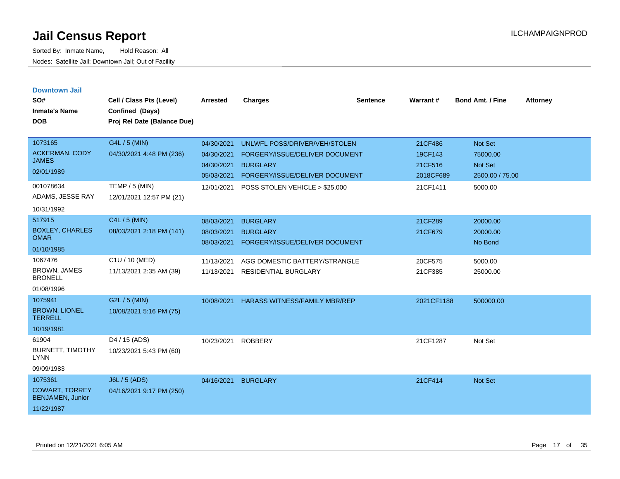| <b>Downtown Jail</b><br>SO#<br><b>Inmate's Name</b><br><b>DOB</b>                               | Cell / Class Pts (Level)<br>Confined (Days)<br>Proj Rel Date (Balance Due)              | <b>Arrested</b>                                                    | <b>Charges</b>                                                                                                                                         | <b>Sentence</b> | Warrant#                                               | <b>Bond Amt. / Fine</b>                                      | <b>Attorney</b> |
|-------------------------------------------------------------------------------------------------|-----------------------------------------------------------------------------------------|--------------------------------------------------------------------|--------------------------------------------------------------------------------------------------------------------------------------------------------|-----------------|--------------------------------------------------------|--------------------------------------------------------------|-----------------|
| 1073165<br><b>ACKERMAN, CODY</b><br><b>JAMES</b><br>02/01/1989<br>001078634<br>ADAMS, JESSE RAY | G4L / 5 (MIN)<br>04/30/2021 4:48 PM (236)<br>TEMP / 5 (MIN)<br>12/01/2021 12:57 PM (21) | 04/30/2021<br>04/30/2021<br>04/30/2021<br>05/03/2021<br>12/01/2021 | UNLWFL POSS/DRIVER/VEH/STOLEN<br>FORGERY/ISSUE/DELIVER DOCUMENT<br><b>BURGLARY</b><br>FORGERY/ISSUE/DELIVER DOCUMENT<br>POSS STOLEN VEHICLE > \$25,000 |                 | 21CF486<br>19CF143<br>21CF516<br>2018CF689<br>21CF1411 | Not Set<br>75000.00<br>Not Set<br>2500.00 / 75.00<br>5000.00 |                 |
| 10/31/1992<br>517915<br><b>BOXLEY, CHARLES</b><br><b>OMAR</b><br>01/10/1985                     | C4L / 5 (MIN)<br>08/03/2021 2:18 PM (141)                                               | 08/03/2021<br>08/03/2021<br>08/03/2021                             | <b>BURGLARY</b><br><b>BURGLARY</b><br>FORGERY/ISSUE/DELIVER DOCUMENT                                                                                   |                 | 21CF289<br>21CF679                                     | 20000.00<br>20000.00<br>No Bond                              |                 |
| 1067476<br><b>BROWN, JAMES</b><br><b>BRONELL</b><br>01/08/1996                                  | C1U / 10 (MED)<br>11/13/2021 2:35 AM (39)                                               | 11/13/2021<br>11/13/2021                                           | AGG DOMESTIC BATTERY/STRANGLE<br><b>RESIDENTIAL BURGLARY</b>                                                                                           |                 | 20CF575<br>21CF385                                     | 5000.00<br>25000.00                                          |                 |
| 1075941<br><b>BROWN, LIONEL</b><br><b>TERRELL</b><br>10/19/1981                                 | G2L / 5 (MIN)<br>10/08/2021 5:16 PM (75)                                                | 10/08/2021                                                         | <b>HARASS WITNESS/FAMILY MBR/REP</b>                                                                                                                   |                 | 2021CF1188                                             | 500000.00                                                    |                 |
| 61904<br><b>BURNETT, TIMOTHY</b><br><b>LYNN</b><br>09/09/1983                                   | D <sub>4</sub> / 15 (ADS)<br>10/23/2021 5:43 PM (60)                                    | 10/23/2021                                                         | <b>ROBBERY</b>                                                                                                                                         |                 | 21CF1287                                               | Not Set                                                      |                 |
| 1075361<br><b>COWART, TORREY</b><br><b>BENJAMEN, Junior</b><br>11/22/1987                       | <b>J6L / 5 (ADS)</b><br>04/16/2021 9:17 PM (250)                                        | 04/16/2021                                                         | <b>BURGLARY</b>                                                                                                                                        |                 | 21CF414                                                | Not Set                                                      |                 |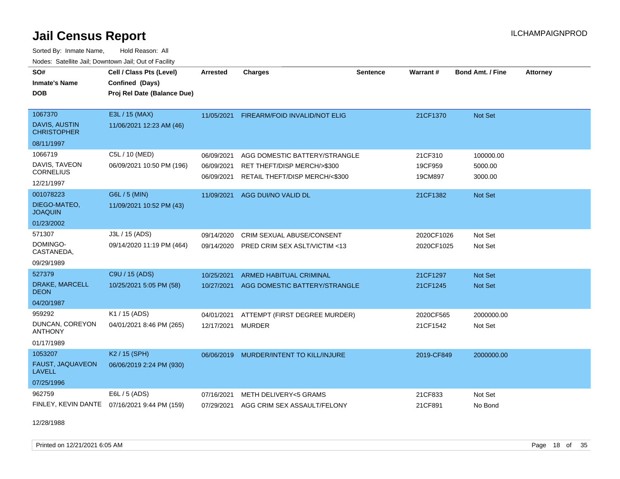Sorted By: Inmate Name, Hold Reason: All Nodes: Satellite Jail; Downtown Jail; Out of Facility

| SO#<br><b>Inmate's Name</b><br><b>DOB</b> | Cell / Class Pts (Level)<br>Confined (Days)<br>Proj Rel Date (Balance Due) | <b>Arrested</b> | <b>Charges</b>                          | <b>Sentence</b> | <b>Warrant#</b> | <b>Bond Amt. / Fine</b> | <b>Attorney</b> |
|-------------------------------------------|----------------------------------------------------------------------------|-----------------|-----------------------------------------|-----------------|-----------------|-------------------------|-----------------|
| 1067370<br><b>DAVIS, AUSTIN</b>           | E3L / 15 (MAX)                                                             | 11/05/2021      | FIREARM/FOID INVALID/NOT ELIG           |                 | 21CF1370        | <b>Not Set</b>          |                 |
| <b>CHRISTOPHER</b>                        | 11/06/2021 12:23 AM (46)                                                   |                 |                                         |                 |                 |                         |                 |
| 08/11/1997                                |                                                                            |                 |                                         |                 |                 |                         |                 |
| 1066719                                   | C5L / 10 (MED)                                                             | 06/09/2021      | AGG DOMESTIC BATTERY/STRANGLE           |                 | 21CF310         | 100000.00               |                 |
| DAVIS, TAVEON<br><b>CORNELIUS</b>         | 06/09/2021 10:50 PM (196)                                                  | 06/09/2021      | RET THEFT/DISP MERCH/>\$300             |                 | 19CF959         | 5000.00                 |                 |
| 12/21/1997                                |                                                                            | 06/09/2021      | RETAIL THEFT/DISP MERCH/<\$300          |                 | 19CM897         | 3000.00                 |                 |
| 001078223                                 | G6L / 5 (MIN)                                                              | 11/09/2021      | AGG DUI/NO VALID DL                     |                 | 21CF1382        | <b>Not Set</b>          |                 |
| DIEGO-MATEO,<br><b>JOAQUIN</b>            | 11/09/2021 10:52 PM (43)                                                   |                 |                                         |                 |                 |                         |                 |
| 01/23/2002                                |                                                                            |                 |                                         |                 |                 |                         |                 |
| 571307                                    | J3L / 15 (ADS)                                                             | 09/14/2020      | CRIM SEXUAL ABUSE/CONSENT               |                 | 2020CF1026      | Not Set                 |                 |
| DOMINGO-<br>CASTANEDA,                    | 09/14/2020 11:19 PM (464)                                                  | 09/14/2020      | PRED CRIM SEX ASLT/VICTIM <13           |                 | 2020CF1025      | Not Set                 |                 |
| 09/29/1989                                |                                                                            |                 |                                         |                 |                 |                         |                 |
| 527379                                    | C9U / 15 (ADS)                                                             | 10/25/2021      | ARMED HABITUAL CRIMINAL                 |                 | 21CF1297        | <b>Not Set</b>          |                 |
| DRAKE, MARCELL<br><b>DEON</b>             | 10/25/2021 5:05 PM (58)                                                    | 10/27/2021      | AGG DOMESTIC BATTERY/STRANGLE           |                 | 21CF1245        | Not Set                 |                 |
| 04/20/1987                                |                                                                            |                 |                                         |                 |                 |                         |                 |
| 959292                                    | K1 / 15 (ADS)                                                              | 04/01/2021      | ATTEMPT (FIRST DEGREE MURDER)           |                 | 2020CF565       | 2000000.00              |                 |
| DUNCAN, COREYON<br><b>ANTHONY</b>         | 04/01/2021 8:46 PM (265)                                                   | 12/17/2021      | <b>MURDER</b>                           |                 | 21CF1542        | Not Set                 |                 |
| 01/17/1989                                |                                                                            |                 |                                         |                 |                 |                         |                 |
| 1053207                                   | K2 / 15 (SPH)                                                              |                 | 06/06/2019 MURDER/INTENT TO KILL/INJURE |                 | 2019-CF849      | 2000000.00              |                 |
| FAUST, JAQUAVEON<br><b>LAVELL</b>         | 06/06/2019 2:24 PM (930)                                                   |                 |                                         |                 |                 |                         |                 |
| 07/25/1996                                |                                                                            |                 |                                         |                 |                 |                         |                 |
| 962759                                    | E6L / 5 (ADS)                                                              | 07/16/2021      | METH DELIVERY<5 GRAMS                   |                 | 21CF833         | Not Set                 |                 |
| FINLEY, KEVIN DANTE                       | 07/16/2021 9:44 PM (159)                                                   | 07/29/2021      | AGG CRIM SEX ASSAULT/FELONY             |                 | 21CF891         | No Bond                 |                 |

12/28/1988

Printed on  $12/21/2021$  6:05 AM Page 18 of 35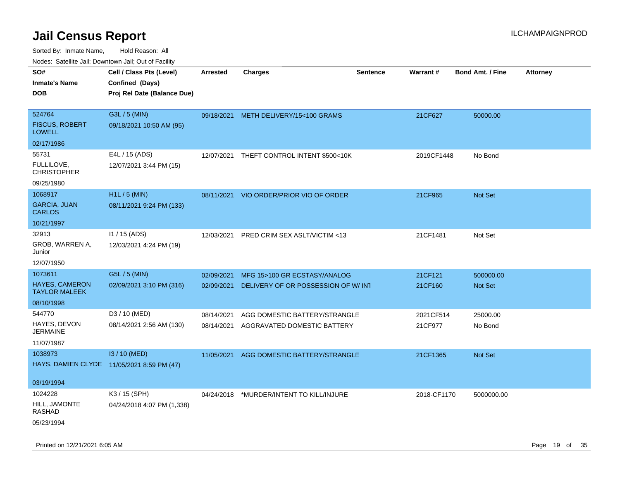| Nudes. Satellite Jali, Downtown Jali, Out of Facility |                                            |                 |                                          |                 |                 |                         |                 |
|-------------------------------------------------------|--------------------------------------------|-----------------|------------------------------------------|-----------------|-----------------|-------------------------|-----------------|
| SO#                                                   | Cell / Class Pts (Level)                   | <b>Arrested</b> | <b>Charges</b>                           | <b>Sentence</b> | <b>Warrant#</b> | <b>Bond Amt. / Fine</b> | <b>Attorney</b> |
| Inmate's Name                                         | Confined (Days)                            |                 |                                          |                 |                 |                         |                 |
| <b>DOB</b>                                            | Proj Rel Date (Balance Due)                |                 |                                          |                 |                 |                         |                 |
|                                                       |                                            |                 |                                          |                 |                 |                         |                 |
| 524764                                                | G3L / 5 (MIN)                              |                 | 09/18/2021 METH DELIVERY/15<100 GRAMS    |                 | 21CF627         | 50000.00                |                 |
| <b>FISCUS, ROBERT</b><br>LOWELL                       | 09/18/2021 10:50 AM (95)                   |                 |                                          |                 |                 |                         |                 |
| 02/17/1986                                            |                                            |                 |                                          |                 |                 |                         |                 |
| 55731                                                 | E4L / 15 (ADS)                             | 12/07/2021      | THEFT CONTROL INTENT \$500<10K           |                 | 2019CF1448      | No Bond                 |                 |
| FULLILOVE,<br><b>CHRISTOPHER</b>                      | 12/07/2021 3:44 PM (15)                    |                 |                                          |                 |                 |                         |                 |
| 09/25/1980                                            |                                            |                 |                                          |                 |                 |                         |                 |
| 1068917                                               | H1L / 5 (MIN)                              | 08/11/2021      | VIO ORDER/PRIOR VIO OF ORDER             |                 | 21CF965         | <b>Not Set</b>          |                 |
| GARCIA, JUAN<br>CARLOS                                | 08/11/2021 9:24 PM (133)                   |                 |                                          |                 |                 |                         |                 |
| 10/21/1997                                            |                                            |                 |                                          |                 |                 |                         |                 |
| 32913                                                 | $11/15$ (ADS)                              | 12/03/2021      | PRED CRIM SEX ASLT/VICTIM <13            |                 | 21CF1481        | Not Set                 |                 |
| GROB, WARREN A,<br>Junior                             | 12/03/2021 4:24 PM (19)                    |                 |                                          |                 |                 |                         |                 |
| 12/07/1950                                            |                                            |                 |                                          |                 |                 |                         |                 |
| 1073611                                               | G5L / 5 (MIN)                              | 02/09/2021      | MFG 15>100 GR ECSTASY/ANALOG             |                 | 21CF121         | 500000.00               |                 |
| HAYES, CAMERON<br><b>TAYLOR MALEEK</b>                | 02/09/2021 3:10 PM (316)                   | 02/09/2021      | DELIVERY OF OR POSSESSION OF W/INT       |                 | 21CF160         | Not Set                 |                 |
| 08/10/1998                                            |                                            |                 |                                          |                 |                 |                         |                 |
| 544770                                                | D3 / 10 (MED)                              | 08/14/2021      | AGG DOMESTIC BATTERY/STRANGLE            |                 | 2021CF514       | 25000.00                |                 |
| HAYES, DEVON<br>JERMAINE                              | 08/14/2021 2:56 AM (130)                   | 08/14/2021      | AGGRAVATED DOMESTIC BATTERY              |                 | 21CF977         | No Bond                 |                 |
| 11/07/1987                                            |                                            |                 |                                          |                 |                 |                         |                 |
| 1038973                                               | I3 / 10 (MED)                              | 11/05/2021      | AGG DOMESTIC BATTERY/STRANGLE            |                 | 21CF1365        | <b>Not Set</b>          |                 |
|                                                       | HAYS, DAMIEN CLYDE 11/05/2021 8:59 PM (47) |                 |                                          |                 |                 |                         |                 |
|                                                       |                                            |                 |                                          |                 |                 |                         |                 |
| 03/19/1994                                            |                                            |                 |                                          |                 |                 |                         |                 |
| 1024228                                               | K3 / 15 (SPH)                              |                 | 04/24/2018 *MURDER/INTENT TO KILL/INJURE |                 | 2018-CF1170     | 5000000.00              |                 |
| HILL, JAMONTE<br>RASHAD                               | 04/24/2018 4:07 PM (1,338)                 |                 |                                          |                 |                 |                         |                 |
| 05/23/1994                                            |                                            |                 |                                          |                 |                 |                         |                 |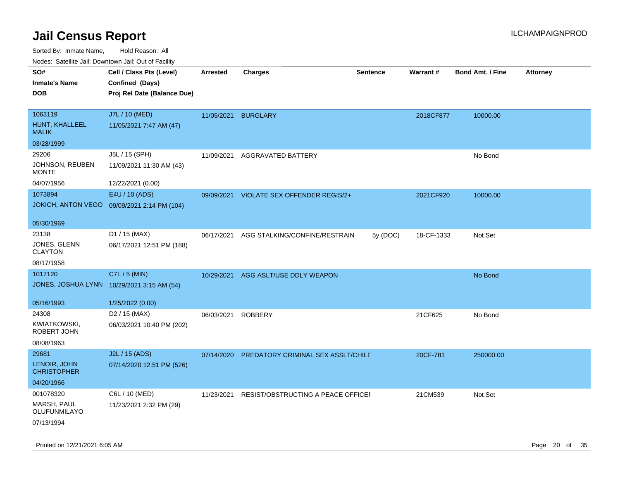| SO#                                | Cell / Class Pts (Level)                   | <b>Arrested</b> | <b>Charges</b>                     | <b>Sentence</b> | <b>Warrant#</b> | <b>Bond Amt. / Fine</b> | <b>Attorney</b> |
|------------------------------------|--------------------------------------------|-----------------|------------------------------------|-----------------|-----------------|-------------------------|-----------------|
| <b>Inmate's Name</b>               | Confined (Days)                            |                 |                                    |                 |                 |                         |                 |
| <b>DOB</b>                         | Proj Rel Date (Balance Due)                |                 |                                    |                 |                 |                         |                 |
|                                    |                                            |                 |                                    |                 |                 |                         |                 |
| 1063119                            | J7L / 10 (MED)                             | 11/05/2021      | <b>BURGLARY</b>                    |                 | 2018CF877       | 10000.00                |                 |
| HUNT, KHALLEEL<br><b>MALIK</b>     | 11/05/2021 7:47 AM (47)                    |                 |                                    |                 |                 |                         |                 |
| 03/28/1999                         |                                            |                 |                                    |                 |                 |                         |                 |
| 29206                              | J5L / 15 (SPH)                             | 11/09/2021      | <b>AGGRAVATED BATTERY</b>          |                 |                 | No Bond                 |                 |
| JOHNSON, REUBEN<br><b>MONTE</b>    | 11/09/2021 11:30 AM (43)                   |                 |                                    |                 |                 |                         |                 |
| 04/07/1956                         | 12/22/2021 (0.00)                          |                 |                                    |                 |                 |                         |                 |
| 1073894                            | E4U / 10 (ADS)                             | 09/09/2021      | VIOLATE SEX OFFENDER REGIS/2+      |                 | 2021CF920       | 10000.00                |                 |
| <b>JOKICH, ANTON VEGO</b>          | 09/09/2021 2:14 PM (104)                   |                 |                                    |                 |                 |                         |                 |
|                                    |                                            |                 |                                    |                 |                 |                         |                 |
| 05/30/1969                         |                                            |                 |                                    |                 |                 |                         |                 |
| 23138                              | D1 / 15 (MAX)                              | 06/17/2021      | AGG STALKING/CONFINE/RESTRAIN      | 5y (DOC)        | 18-CF-1333      | Not Set                 |                 |
| JONES, GLENN<br><b>CLAYTON</b>     | 06/17/2021 12:51 PM (188)                  |                 |                                    |                 |                 |                         |                 |
| 08/17/1958                         |                                            |                 |                                    |                 |                 |                         |                 |
| 1017120                            | C7L / 5 (MIN)                              | 10/29/2021      | AGG ASLT/USE DDLY WEAPON           |                 |                 | No Bond                 |                 |
|                                    | JONES, JOSHUA LYNN 10/29/2021 3:15 AM (54) |                 |                                    |                 |                 |                         |                 |
| 05/16/1993                         | 1/25/2022 (0.00)                           |                 |                                    |                 |                 |                         |                 |
| 24308                              | D <sub>2</sub> / 15 (MAX)                  | 06/03/2021      | <b>ROBBERY</b>                     |                 | 21CF625         | No Bond                 |                 |
| KWIATKOWSKI,<br>ROBERT JOHN        | 06/03/2021 10:40 PM (202)                  |                 |                                    |                 |                 |                         |                 |
| 08/08/1963                         |                                            |                 |                                    |                 |                 |                         |                 |
| 29681                              | J2L / 15 (ADS)                             | 07/14/2020      | PREDATORY CRIMINAL SEX ASSLT/CHILD |                 | 20CF-781        | 250000.00               |                 |
| LENOIR, JOHN<br><b>CHRISTOPHER</b> | 07/14/2020 12:51 PM (526)                  |                 |                                    |                 |                 |                         |                 |
| 04/20/1966                         |                                            |                 |                                    |                 |                 |                         |                 |
| 001078320                          | C6L / 10 (MED)                             | 11/23/2021      | RESIST/OBSTRUCTING A PEACE OFFICEI |                 | 21CM539         | Not Set                 |                 |
| MARSH, PAUL                        | 11/23/2021 2:32 PM (29)                    |                 |                                    |                 |                 |                         |                 |
| OLUFUNMILAYO                       |                                            |                 |                                    |                 |                 |                         |                 |
| 07/13/1994                         |                                            |                 |                                    |                 |                 |                         |                 |
|                                    |                                            |                 |                                    |                 |                 |                         |                 |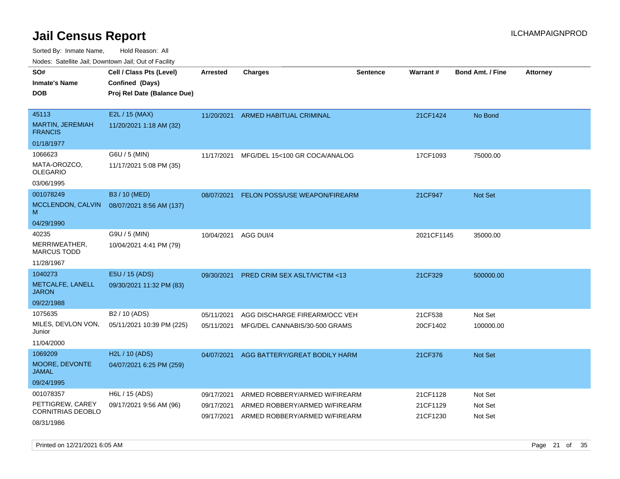| roaco. Catolino dall, Downtown dall, Out of Fability |                                             |                 |                                         |                 |                 |                         |                 |
|------------------------------------------------------|---------------------------------------------|-----------------|-----------------------------------------|-----------------|-----------------|-------------------------|-----------------|
| SO#<br><b>Inmate's Name</b>                          | Cell / Class Pts (Level)<br>Confined (Days) | <b>Arrested</b> | <b>Charges</b>                          | <b>Sentence</b> | <b>Warrant#</b> | <b>Bond Amt. / Fine</b> | <b>Attorney</b> |
| <b>DOB</b>                                           | Proj Rel Date (Balance Due)                 |                 |                                         |                 |                 |                         |                 |
|                                                      |                                             |                 |                                         |                 |                 |                         |                 |
| 45113                                                | E2L / 15 (MAX)                              | 11/20/2021      | ARMED HABITUAL CRIMINAL                 |                 | 21CF1424        | No Bond                 |                 |
| MARTIN, JEREMIAH<br><b>FRANCIS</b>                   | 11/20/2021 1:18 AM (32)                     |                 |                                         |                 |                 |                         |                 |
| 01/18/1977                                           |                                             |                 |                                         |                 |                 |                         |                 |
| 1066623                                              | G6U / 5 (MIN)                               | 11/17/2021      | MFG/DEL 15<100 GR COCA/ANALOG           |                 | 17CF1093        | 75000.00                |                 |
| MATA-OROZCO,<br>OLEGARIO                             | 11/17/2021 5:08 PM (35)                     |                 |                                         |                 |                 |                         |                 |
| 03/06/1995                                           |                                             |                 |                                         |                 |                 |                         |                 |
| 001078249                                            | B3 / 10 (MED)                               | 08/07/2021      | FELON POSS/USE WEAPON/FIREARM           |                 | 21CF947         | <b>Not Set</b>          |                 |
| MCCLENDON, CALVIN<br>М                               | 08/07/2021 8:56 AM (137)                    |                 |                                         |                 |                 |                         |                 |
| 04/29/1990                                           |                                             |                 |                                         |                 |                 |                         |                 |
| 40235                                                | G9U / 5 (MIN)                               | 10/04/2021      | AGG DUI/4                               |                 | 2021CF1145      | 35000.00                |                 |
| MERRIWEATHER,<br><b>MARCUS TODD</b>                  | 10/04/2021 4:41 PM (79)                     |                 |                                         |                 |                 |                         |                 |
| 11/28/1967                                           |                                             |                 |                                         |                 |                 |                         |                 |
| 1040273                                              | E5U / 15 (ADS)                              | 09/30/2021      | <b>PRED CRIM SEX ASLT/VICTIM &lt;13</b> |                 | 21CF329         | 500000.00               |                 |
| METCALFE, LANELL<br>JARON                            | 09/30/2021 11:32 PM (83)                    |                 |                                         |                 |                 |                         |                 |
| 09/22/1988                                           |                                             |                 |                                         |                 |                 |                         |                 |
| 1075635                                              | B <sub>2</sub> / 10 (ADS)                   | 05/11/2021      | AGG DISCHARGE FIREARM/OCC VEH           |                 | 21CF538         | Not Set                 |                 |
| MILES, DEVLON VON,<br>Junior                         | 05/11/2021 10:39 PM (225)                   | 05/11/2021      | MFG/DEL CANNABIS/30-500 GRAMS           |                 | 20CF1402        | 100000.00               |                 |
| 11/04/2000                                           |                                             |                 |                                         |                 |                 |                         |                 |
| 1069209                                              | H2L / 10 (ADS)                              | 04/07/2021      | AGG BATTERY/GREAT BODILY HARM           |                 | 21CF376         | <b>Not Set</b>          |                 |
| MOORE, DEVONTE<br>JAMAL                              | 04/07/2021 6:25 PM (259)                    |                 |                                         |                 |                 |                         |                 |
| 09/24/1995                                           |                                             |                 |                                         |                 |                 |                         |                 |
| 001078357                                            | H6L / 15 (ADS)                              | 09/17/2021      | ARMED ROBBERY/ARMED W/FIREARM           |                 | 21CF1128        | Not Set                 |                 |
| PETTIGREW, CAREY<br><b>CORNITRIAS DEOBLO</b>         | 09/17/2021 9:56 AM (96)                     | 09/17/2021      | ARMED ROBBERY/ARMED W/FIREARM           |                 | 21CF1129        | Not Set                 |                 |
| 08/31/1986                                           |                                             | 09/17/2021      | ARMED ROBBERY/ARMED W/FIREARM           |                 | 21CF1230        | Not Set                 |                 |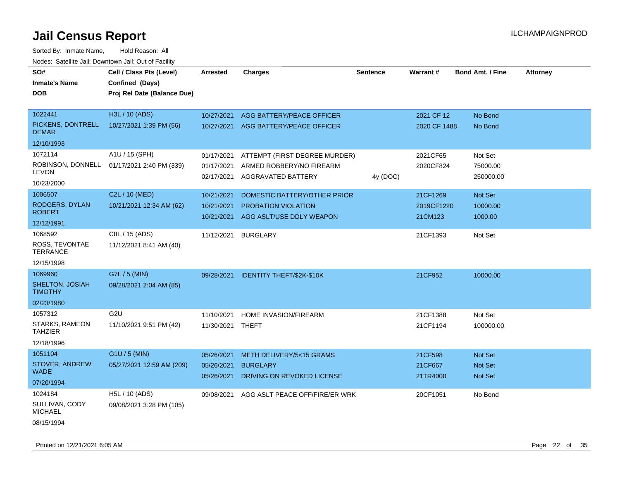| <u>Rodos.</u> Odiolino dali, Downtown dali, Odi of Fabilit |                             |                  |                                               |                 |              |                         |                 |
|------------------------------------------------------------|-----------------------------|------------------|-----------------------------------------------|-----------------|--------------|-------------------------|-----------------|
| SO#                                                        | Cell / Class Pts (Level)    | <b>Arrested</b>  | <b>Charges</b>                                | <b>Sentence</b> | Warrant#     | <b>Bond Amt. / Fine</b> | <b>Attorney</b> |
| <b>Inmate's Name</b>                                       | Confined (Days)             |                  |                                               |                 |              |                         |                 |
| <b>DOB</b>                                                 | Proj Rel Date (Balance Due) |                  |                                               |                 |              |                         |                 |
|                                                            |                             |                  |                                               |                 |              |                         |                 |
| 1022441                                                    | H3L / 10 (ADS)              |                  | 10/27/2021 AGG BATTERY/PEACE OFFICER          |                 | 2021 CF 12   | No Bond                 |                 |
| PICKENS, DONTRELL<br><b>DEMAR</b>                          | 10/27/2021 1:39 PM (56)     |                  | 10/27/2021 AGG BATTERY/PEACE OFFICER          |                 | 2020 CF 1488 | No Bond                 |                 |
| 12/10/1993                                                 |                             |                  |                                               |                 |              |                         |                 |
| 1072114                                                    | A1U / 15 (SPH)              | 01/17/2021       | ATTEMPT (FIRST DEGREE MURDER)                 |                 | 2021CF65     | Not Set                 |                 |
| ROBINSON, DONNELL                                          | 01/17/2021 2:40 PM (339)    | 01/17/2021       | ARMED ROBBERY/NO FIREARM                      |                 | 2020CF824    | 75000.00                |                 |
| <b>LEVON</b>                                               |                             | 02/17/2021       | AGGRAVATED BATTERY                            | 4y (DOC)        |              | 250000.00               |                 |
| 10/23/2000                                                 |                             |                  |                                               |                 |              |                         |                 |
| 1006507                                                    | C2L / 10 (MED)              | 10/21/2021       | DOMESTIC BATTERY/OTHER PRIOR                  |                 | 21CF1269     | Not Set                 |                 |
| RODGERS, DYLAN                                             | 10/21/2021 12:34 AM (62)    | 10/21/2021       | PROBATION VIOLATION                           |                 | 2019CF1220   | 10000.00                |                 |
| <b>ROBERT</b>                                              |                             | 10/21/2021       | AGG ASLT/USE DDLY WEAPON                      |                 | 21CM123      | 1000.00                 |                 |
| 12/12/1991                                                 |                             |                  |                                               |                 |              |                         |                 |
| 1068592                                                    | C8L / 15 (ADS)              | 11/12/2021       | <b>BURGLARY</b>                               |                 | 21CF1393     | Not Set                 |                 |
| ROSS, TEVONTAE<br><b>TERRANCE</b>                          | 11/12/2021 8:41 AM (40)     |                  |                                               |                 |              |                         |                 |
| 12/15/1998                                                 |                             |                  |                                               |                 |              |                         |                 |
| 1069960                                                    | G7L / 5 (MIN)               | 09/28/2021       | <b>IDENTITY THEFT/\$2K-\$10K</b>              |                 | 21CF952      | 10000.00                |                 |
| SHELTON, JOSIAH<br><b>TIMOTHY</b>                          | 09/28/2021 2:04 AM (85)     |                  |                                               |                 |              |                         |                 |
| 02/23/1980                                                 |                             |                  |                                               |                 |              |                         |                 |
| 1057312                                                    | G <sub>2U</sub>             | 11/10/2021       | HOME INVASION/FIREARM                         |                 | 21CF1388     | Not Set                 |                 |
| <b>STARKS, RAMEON</b><br><b>TAHZIER</b>                    | 11/10/2021 9:51 PM (42)     | 11/30/2021 THEFT |                                               |                 | 21CF1194     | 100000.00               |                 |
| 12/18/1996                                                 |                             |                  |                                               |                 |              |                         |                 |
| 1051104                                                    | G1U / 5 (MIN)               | 05/26/2021       | METH DELIVERY/5<15 GRAMS                      |                 | 21CF598      | Not Set                 |                 |
| STOVER, ANDREW<br><b>WADE</b>                              | 05/27/2021 12:59 AM (209)   | 05/26/2021       | <b>BURGLARY</b><br>DRIVING ON REVOKED LICENSE |                 | 21CF667      | Not Set                 |                 |
| 07/20/1994                                                 |                             | 05/26/2021       |                                               |                 | 21TR4000     | <b>Not Set</b>          |                 |
| 1024184                                                    | H5L / 10 (ADS)              | 09/08/2021       | AGG ASLT PEACE OFF/FIRE/ER WRK                |                 | 20CF1051     | No Bond                 |                 |
| SULLIVAN, CODY<br><b>MICHAEL</b>                           | 09/08/2021 3:28 PM (105)    |                  |                                               |                 |              |                         |                 |
| 08/15/1994                                                 |                             |                  |                                               |                 |              |                         |                 |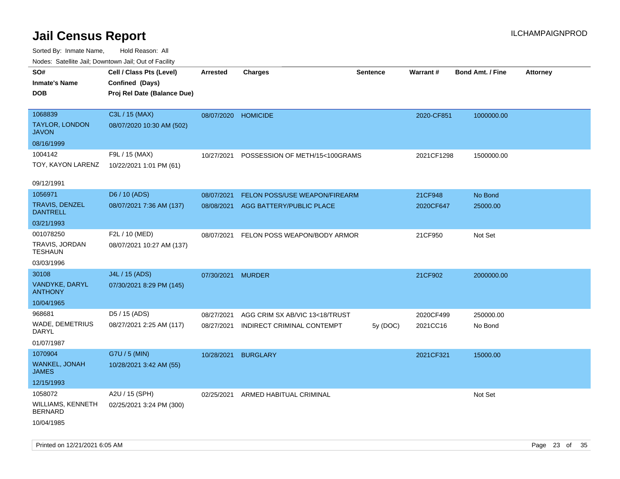| SO#<br><b>Inmate's Name</b><br><b>DOB</b>                                | Cell / Class Pts (Level)<br>Confined (Days)<br>Proj Rel Date (Balance Due) | <b>Arrested</b>          | <b>Charges</b>                                               | <b>Sentence</b> | <b>Warrant#</b>       | <b>Bond Amt. / Fine</b> | <b>Attorney</b> |
|--------------------------------------------------------------------------|----------------------------------------------------------------------------|--------------------------|--------------------------------------------------------------|-----------------|-----------------------|-------------------------|-----------------|
| 1068839<br><b>TAYLOR, LONDON</b><br><b>JAVON</b><br>08/16/1999           | C3L / 15 (MAX)<br>08/07/2020 10:30 AM (502)                                | 08/07/2020               | <b>HOMICIDE</b>                                              |                 | 2020-CF851            | 1000000.00              |                 |
| 1004142<br>TOY, KAYON LARENZ                                             | F9L / 15 (MAX)<br>10/22/2021 1:01 PM (61)                                  | 10/27/2021               | POSSESSION OF METH/15<100GRAMS                               |                 | 2021CF1298            | 1500000.00              |                 |
| 09/12/1991<br>1056971<br>TRAVIS, DENZEL<br><b>DANTRELL</b><br>03/21/1993 | D6 / 10 (ADS)<br>08/07/2021 7:36 AM (137)                                  | 08/07/2021<br>08/08/2021 | FELON POSS/USE WEAPON/FIREARM<br>AGG BATTERY/PUBLIC PLACE    |                 | 21CF948<br>2020CF647  | No Bond<br>25000.00     |                 |
| 001078250<br>TRAVIS, JORDAN<br><b>TESHAUN</b><br>03/03/1996              | F2L / 10 (MED)<br>08/07/2021 10:27 AM (137)                                | 08/07/2021               | FELON POSS WEAPON/BODY ARMOR                                 |                 | 21CF950               | Not Set                 |                 |
| 30108<br>VANDYKE, DARYL<br><b>ANTHONY</b><br>10/04/1965                  | J4L / 15 (ADS)<br>07/30/2021 8:29 PM (145)                                 | 07/30/2021               | <b>MURDER</b>                                                |                 | 21CF902               | 2000000.00              |                 |
| 968681<br>WADE, DEMETRIUS<br><b>DARYL</b><br>01/07/1987                  | D5 / 15 (ADS)<br>08/27/2021 2:25 AM (117)                                  | 08/27/2021<br>08/27/2021 | AGG CRIM SX AB/VIC 13<18/TRUST<br>INDIRECT CRIMINAL CONTEMPT | 5y (DOC)        | 2020CF499<br>2021CC16 | 250000.00<br>No Bond    |                 |
| 1070904<br>WANKEL, JONAH<br><b>JAMES</b><br>12/15/1993                   | G7U / 5 (MIN)<br>10/28/2021 3:42 AM (55)                                   | 10/28/2021               | <b>BURGLARY</b>                                              |                 | 2021CF321             | 15000.00                |                 |
| 1058072<br>WILLIAMS, KENNETH<br>BERNARD<br>10/04/1985                    | A2U / 15 (SPH)<br>02/25/2021 3:24 PM (300)                                 |                          | 02/25/2021 ARMED HABITUAL CRIMINAL                           |                 |                       | Not Set                 |                 |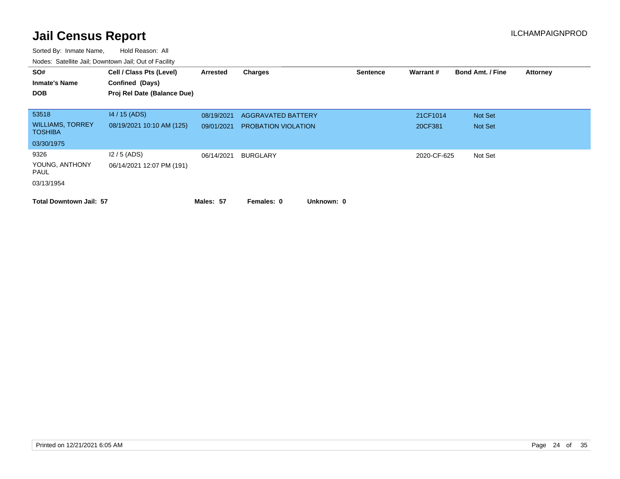| SO#<br><b>Inmate's Name</b><br><b>DOB</b>          | Cell / Class Pts (Level)<br>Confined (Days)<br>Proj Rel Date (Balance Due) | Arrested                 | <b>Charges</b>                                          | <b>Sentence</b> | Warrant#            | <b>Bond Amt. / Fine</b> | <b>Attorney</b> |
|----------------------------------------------------|----------------------------------------------------------------------------|--------------------------|---------------------------------------------------------|-----------------|---------------------|-------------------------|-----------------|
| 53518<br><b>WILLIAMS, TORREY</b><br><b>TOSHIBA</b> | $14/15$ (ADS)<br>08/19/2021 10:10 AM (125)                                 | 08/19/2021<br>09/01/2021 | <b>AGGRAVATED BATTERY</b><br><b>PROBATION VIOLATION</b> |                 | 21CF1014<br>20CF381 | Not Set<br>Not Set      |                 |
| 03/30/1975                                         |                                                                            |                          |                                                         |                 |                     |                         |                 |
| 9326<br>YOUNG, ANTHONY<br>PAUL<br>03/13/1954       | $12/5$ (ADS)<br>06/14/2021 12:07 PM (191)                                  | 06/14/2021               | BURGLARY                                                |                 | 2020-CF-625         | Not Set                 |                 |
| <b>Total Downtown Jail: 57</b>                     |                                                                            | Males: 57                | Unknown: 0<br>Females: 0                                |                 |                     |                         |                 |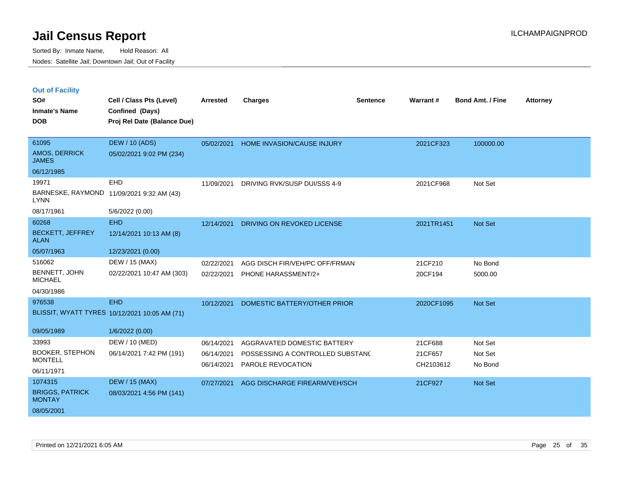| <b>Out of Facility</b> |  |  |
|------------------------|--|--|
|                        |  |  |

| SO#<br><b>Inmate's Name</b>             | Cell / Class Pts (Level)<br>Confined (Days)   | Arrested   | <b>Charges</b>                    | <b>Sentence</b> | Warrant#   | Bond Amt. / Fine | <b>Attorney</b> |
|-----------------------------------------|-----------------------------------------------|------------|-----------------------------------|-----------------|------------|------------------|-----------------|
| <b>DOB</b>                              | Proj Rel Date (Balance Due)                   |            |                                   |                 |            |                  |                 |
| 61095                                   | <b>DEW / 10 (ADS)</b>                         | 05/02/2021 | <b>HOME INVASION/CAUSE INJURY</b> |                 | 2021CF323  | 100000.00        |                 |
| AMOS, DERRICK<br><b>JAMES</b>           | 05/02/2021 9:02 PM (234)                      |            |                                   |                 |            |                  |                 |
| 06/12/1985                              |                                               |            |                                   |                 |            |                  |                 |
| 19971                                   | <b>EHD</b>                                    | 11/09/2021 | DRIVING RVK/SUSP DUI/SSS 4-9      |                 | 2021CF968  | Not Set          |                 |
| <b>LYNN</b>                             | BARNESKE, RAYMOND 11/09/2021 9:32 AM (43)     |            |                                   |                 |            |                  |                 |
| 08/17/1961                              | 5/6/2022 (0.00)                               |            |                                   |                 |            |                  |                 |
| 60268                                   | <b>EHD</b>                                    | 12/14/2021 | DRIVING ON REVOKED LICENSE        |                 | 2021TR1451 | Not Set          |                 |
| <b>BECKETT, JEFFREY</b><br><b>ALAN</b>  | 12/14/2021 10:13 AM (8)                       |            |                                   |                 |            |                  |                 |
| 05/07/1963                              | 12/23/2021 (0.00)                             |            |                                   |                 |            |                  |                 |
| 516062                                  | DEW / 15 (MAX)                                | 02/22/2021 | AGG DISCH FIR/VEH/PC OFF/FRMAN    |                 | 21CF210    | No Bond          |                 |
| BENNETT, JOHN<br><b>MICHAEL</b>         | 02/22/2021 10:47 AM (303)                     | 02/22/2021 | <b>PHONE HARASSMENT/2+</b>        |                 | 20CF194    | 5000.00          |                 |
| 04/30/1986                              |                                               |            |                                   |                 |            |                  |                 |
| 976538                                  | <b>EHD</b>                                    | 10/12/2021 | DOMESTIC BATTERY/OTHER PRIOR      |                 | 2020CF1095 | Not Set          |                 |
|                                         | BLISSIT, WYATT TYRES 10/12/2021 10:05 AM (71) |            |                                   |                 |            |                  |                 |
| 09/05/1989                              | 1/6/2022 (0.00)                               |            |                                   |                 |            |                  |                 |
| 33993                                   | DEW / 10 (MED)                                | 06/14/2021 | AGGRAVATED DOMESTIC BATTERY       |                 | 21CF688    | Not Set          |                 |
| <b>BOOKER, STEPHON</b>                  | 06/14/2021 7:42 PM (191)                      | 06/14/2021 | POSSESSING A CONTROLLED SUBSTANC  |                 | 21CF657    | Not Set          |                 |
| <b>MONTELL</b>                          |                                               | 06/14/2021 | PAROLE REVOCATION                 |                 | CH2103612  | No Bond          |                 |
| 06/11/1971                              |                                               |            |                                   |                 |            |                  |                 |
| 1074315                                 | <b>DEW / 15 (MAX)</b>                         | 07/27/2021 | AGG DISCHARGE FIREARM/VEH/SCH     |                 | 21CF927    | Not Set          |                 |
| <b>BRIGGS, PATRICK</b><br><b>MONTAY</b> | 08/03/2021 4:56 PM (141)                      |            |                                   |                 |            |                  |                 |
| 08/05/2001                              |                                               |            |                                   |                 |            |                  |                 |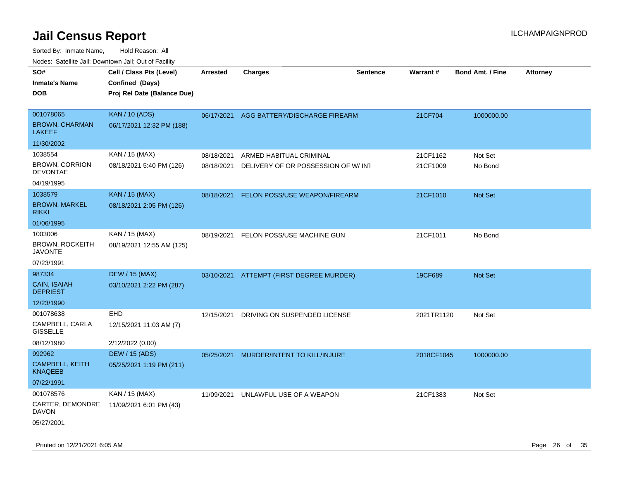Sorted By: Inmate Name, Hold Reason: All Nodes: Satellite Jail; Downtown Jail; Out of Facility

| ivouss. Satellite Jall, Downtown Jall, Out of Facility |                             |                 |                                          |                 |            |                         |                 |
|--------------------------------------------------------|-----------------------------|-----------------|------------------------------------------|-----------------|------------|-------------------------|-----------------|
| SO#                                                    | Cell / Class Pts (Level)    | <b>Arrested</b> | <b>Charges</b>                           | <b>Sentence</b> | Warrant#   | <b>Bond Amt. / Fine</b> | <b>Attorney</b> |
| <b>Inmate's Name</b>                                   | Confined (Days)             |                 |                                          |                 |            |                         |                 |
| <b>DOB</b>                                             | Proj Rel Date (Balance Due) |                 |                                          |                 |            |                         |                 |
|                                                        |                             |                 |                                          |                 |            |                         |                 |
| 001078065                                              | <b>KAN / 10 (ADS)</b>       |                 | 06/17/2021 AGG BATTERY/DISCHARGE FIREARM |                 | 21CF704    | 1000000.00              |                 |
| <b>BROWN, CHARMAN</b><br>LAKEEF                        | 06/17/2021 12:32 PM (188)   |                 |                                          |                 |            |                         |                 |
| 11/30/2002                                             |                             |                 |                                          |                 |            |                         |                 |
| 1038554                                                | KAN / 15 (MAX)              | 08/18/2021      | ARMED HABITUAL CRIMINAL                  |                 | 21CF1162   | Not Set                 |                 |
| <b>BROWN, CORRION</b><br><b>DEVONTAE</b>               | 08/18/2021 5:40 PM (126)    | 08/18/2021      | DELIVERY OF OR POSSESSION OF W/INT       |                 | 21CF1009   | No Bond                 |                 |
| 04/19/1995                                             |                             |                 |                                          |                 |            |                         |                 |
| 1038579                                                | <b>KAN / 15 (MAX)</b>       | 08/18/2021      | FELON POSS/USE WEAPON/FIREARM            |                 | 21CF1010   | <b>Not Set</b>          |                 |
| <b>BROWN, MARKEL</b><br><b>RIKKI</b>                   | 08/18/2021 2:05 PM (126)    |                 |                                          |                 |            |                         |                 |
| 01/06/1995                                             |                             |                 |                                          |                 |            |                         |                 |
| 1003006                                                | KAN / 15 (MAX)              | 08/19/2021      | FELON POSS/USE MACHINE GUN               |                 | 21CF1011   | No Bond                 |                 |
| <b>BROWN, ROCKEITH</b><br><b>JAVONTE</b>               | 08/19/2021 12:55 AM (125)   |                 |                                          |                 |            |                         |                 |
| 07/23/1991                                             |                             |                 |                                          |                 |            |                         |                 |
| 987334                                                 | <b>DEW / 15 (MAX)</b>       |                 | 03/10/2021 ATTEMPT (FIRST DEGREE MURDER) |                 | 19CF689    | <b>Not Set</b>          |                 |
| CAIN, ISAIAH<br><b>DEPRIEST</b>                        | 03/10/2021 2:22 PM (287)    |                 |                                          |                 |            |                         |                 |
| 12/23/1990                                             |                             |                 |                                          |                 |            |                         |                 |
| 001078638                                              | <b>EHD</b>                  | 12/15/2021      | DRIVING ON SUSPENDED LICENSE             |                 | 2021TR1120 | Not Set                 |                 |
| CAMPBELL, CARLA<br><b>GISSELLE</b>                     | 12/15/2021 11:03 AM (7)     |                 |                                          |                 |            |                         |                 |
| 08/12/1980                                             | 2/12/2022 (0.00)            |                 |                                          |                 |            |                         |                 |
| 992962                                                 | <b>DEW / 15 (ADS)</b>       | 05/25/2021      | MURDER/INTENT TO KILL/INJURE             |                 | 2018CF1045 | 1000000.00              |                 |
| CAMPBELL, KEITH<br><b>KNAQEEB</b>                      | 05/25/2021 1:19 PM (211)    |                 |                                          |                 |            |                         |                 |
| 07/22/1991                                             |                             |                 |                                          |                 |            |                         |                 |
| 001078576                                              | KAN / 15 (MAX)              | 11/09/2021      | UNLAWFUL USE OF A WEAPON                 |                 | 21CF1383   | Not Set                 |                 |
| CARTER, DEMONDRE<br>DAVON                              | 11/09/2021 6:01 PM (43)     |                 |                                          |                 |            |                         |                 |
| 05/27/2001                                             |                             |                 |                                          |                 |            |                         |                 |

Printed on  $12/21/2021$  6:05 AM Page 26 of 35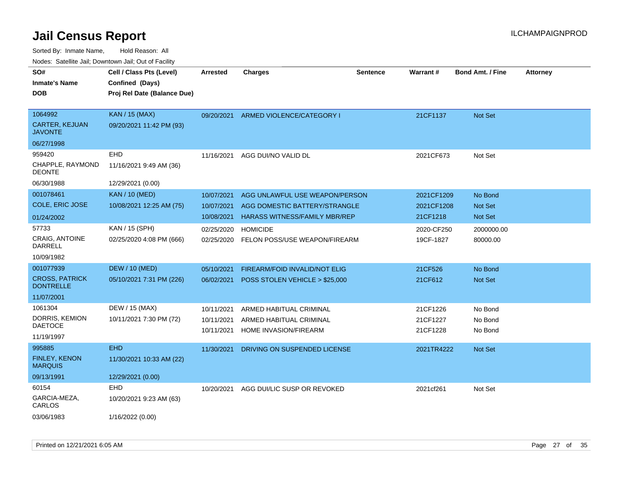| ivouss. Satellite Jali, Downtown Jali, Out of Facility |                             |                 |                                      |                 |            |                         |                 |
|--------------------------------------------------------|-----------------------------|-----------------|--------------------------------------|-----------------|------------|-------------------------|-----------------|
| SO#                                                    | Cell / Class Pts (Level)    | <b>Arrested</b> | <b>Charges</b>                       | <b>Sentence</b> | Warrant#   | <b>Bond Amt. / Fine</b> | <b>Attorney</b> |
| <b>Inmate's Name</b>                                   | Confined (Days)             |                 |                                      |                 |            |                         |                 |
| DOB                                                    | Proj Rel Date (Balance Due) |                 |                                      |                 |            |                         |                 |
|                                                        |                             |                 |                                      |                 |            |                         |                 |
| 1064992                                                | <b>KAN / 15 (MAX)</b>       | 09/20/2021      | ARMED VIOLENCE/CATEGORY I            |                 | 21CF1137   | <b>Not Set</b>          |                 |
| <b>CARTER, KEJUAN</b><br>JAVONTE                       | 09/20/2021 11:42 PM (93)    |                 |                                      |                 |            |                         |                 |
| 06/27/1998                                             |                             |                 |                                      |                 |            |                         |                 |
| 959420                                                 | <b>EHD</b>                  | 11/16/2021      | AGG DUI/NO VALID DL                  |                 | 2021CF673  | Not Set                 |                 |
| CHAPPLE, RAYMOND<br>DEONTE                             | 11/16/2021 9:49 AM (36)     |                 |                                      |                 |            |                         |                 |
| 06/30/1988                                             | 12/29/2021 (0.00)           |                 |                                      |                 |            |                         |                 |
| 001078461                                              | <b>KAN / 10 (MED)</b>       | 10/07/2021      | AGG UNLAWFUL USE WEAPON/PERSON       |                 | 2021CF1209 | No Bond                 |                 |
| COLE, ERIC JOSE                                        | 10/08/2021 12:25 AM (75)    | 10/07/2021      | AGG DOMESTIC BATTERY/STRANGLE        |                 | 2021CF1208 | <b>Not Set</b>          |                 |
| 01/24/2002                                             |                             | 10/08/2021      | <b>HARASS WITNESS/FAMILY MBR/REP</b> |                 | 21CF1218   | <b>Not Set</b>          |                 |
| 57733                                                  | KAN / 15 (SPH)              | 02/25/2020      | <b>HOMICIDE</b>                      |                 | 2020-CF250 | 2000000.00              |                 |
| CRAIG, ANTOINE<br>DARRELL                              | 02/25/2020 4:08 PM (666)    | 02/25/2020      | FELON POSS/USE WEAPON/FIREARM        |                 | 19CF-1827  | 80000.00                |                 |
| 10/09/1982                                             |                             |                 |                                      |                 |            |                         |                 |
| 001077939                                              | <b>DEW / 10 (MED)</b>       | 05/10/2021      | <b>FIREARM/FOID INVALID/NOT ELIG</b> |                 | 21CF526    | No Bond                 |                 |
| <b>CROSS, PATRICK</b><br><b>DONTRELLE</b>              | 05/10/2021 7:31 PM (226)    | 06/02/2021      | POSS STOLEN VEHICLE > \$25,000       |                 | 21CF612    | Not Set                 |                 |
| 11/07/2001                                             |                             |                 |                                      |                 |            |                         |                 |
| 1061304                                                | DEW / 15 (MAX)              | 10/11/2021      | ARMED HABITUAL CRIMINAL              |                 | 21CF1226   | No Bond                 |                 |
| DORRIS, KEMION                                         | 10/11/2021 7:30 PM (72)     | 10/11/2021      | ARMED HABITUAL CRIMINAL              |                 | 21CF1227   | No Bond                 |                 |
| <b>DAETOCE</b>                                         |                             | 10/11/2021      | HOME INVASION/FIREARM                |                 | 21CF1228   | No Bond                 |                 |
| 11/19/1997                                             |                             |                 |                                      |                 |            |                         |                 |
| 995885                                                 | <b>EHD</b>                  | 11/30/2021      | DRIVING ON SUSPENDED LICENSE         |                 | 2021TR4222 | <b>Not Set</b>          |                 |
| <b>FINLEY, KENON</b><br>MARQUIS                        | 11/30/2021 10:33 AM (22)    |                 |                                      |                 |            |                         |                 |
| 09/13/1991                                             | 12/29/2021 (0.00)           |                 |                                      |                 |            |                         |                 |
| 60154                                                  | EHD                         | 10/20/2021      | AGG DUI/LIC SUSP OR REVOKED          |                 | 2021cf261  | Not Set                 |                 |
| GARCIA-MEZA,<br>CARLOS                                 | 10/20/2021 9:23 AM (63)     |                 |                                      |                 |            |                         |                 |
| 03/06/1983                                             | 1/16/2022 (0.00)            |                 |                                      |                 |            |                         |                 |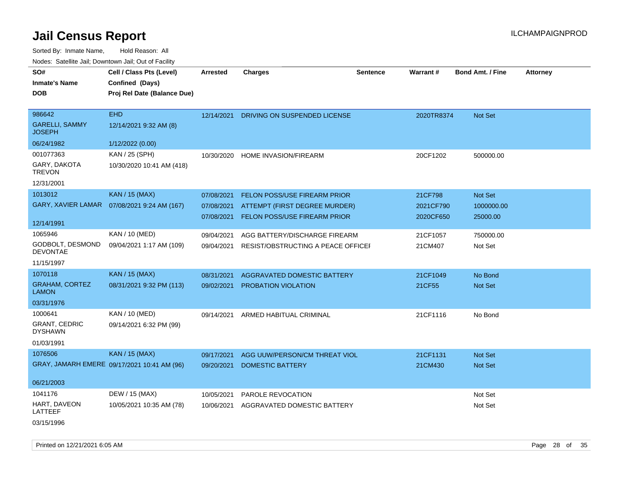| SO#<br><b>Inmate's Name</b>            | Cell / Class Pts (Level)<br>Confined (Days)  | <b>Arrested</b> | <b>Charges</b>                      | <b>Sentence</b> | <b>Warrant#</b> | <b>Bond Amt. / Fine</b> | <b>Attorney</b> |
|----------------------------------------|----------------------------------------------|-----------------|-------------------------------------|-----------------|-----------------|-------------------------|-----------------|
| <b>DOB</b>                             | Proj Rel Date (Balance Due)                  |                 |                                     |                 |                 |                         |                 |
| 986642                                 | <b>EHD</b>                                   | 12/14/2021      | DRIVING ON SUSPENDED LICENSE        |                 | 2020TR8374      | Not Set                 |                 |
| <b>GARELLI, SAMMY</b><br><b>JOSEPH</b> | 12/14/2021 9:32 AM (8)                       |                 |                                     |                 |                 |                         |                 |
| 06/24/1982                             | 1/12/2022 (0.00)                             |                 |                                     |                 |                 |                         |                 |
| 001077363                              | KAN / 25 (SPH)                               | 10/30/2020      | HOME INVASION/FIREARM               |                 | 20CF1202        | 500000.00               |                 |
| GARY, DAKOTA<br><b>TREVON</b>          | 10/30/2020 10:41 AM (418)                    |                 |                                     |                 |                 |                         |                 |
| 12/31/2001                             |                                              |                 |                                     |                 |                 |                         |                 |
| 1013012                                | <b>KAN / 15 (MAX)</b>                        | 07/08/2021      | FELON POSS/USE FIREARM PRIOR        |                 | 21CF798         | <b>Not Set</b>          |                 |
|                                        | GARY, XAVIER LAMAR  07/08/2021 9:24 AM (167) | 07/08/2021      | ATTEMPT (FIRST DEGREE MURDER)       |                 | 2021CF790       | 1000000.00              |                 |
| 12/14/1991                             |                                              | 07/08/2021      | <b>FELON POSS/USE FIREARM PRIOR</b> |                 | 2020CF650       | 25000.00                |                 |
| 1065946                                | KAN / 10 (MED)                               | 09/04/2021      | AGG BATTERY/DISCHARGE FIREARM       |                 | 21CF1057        | 750000.00               |                 |
| GODBOLT, DESMOND<br><b>DEVONTAE</b>    | 09/04/2021 1:17 AM (109)                     | 09/04/2021      | RESIST/OBSTRUCTING A PEACE OFFICE   |                 | 21CM407         | Not Set                 |                 |
| 11/15/1997                             |                                              |                 |                                     |                 |                 |                         |                 |
| 1070118                                | KAN / 15 (MAX)                               | 08/31/2021      | AGGRAVATED DOMESTIC BATTERY         |                 | 21CF1049        | No Bond                 |                 |
| <b>GRAHAM, CORTEZ</b><br>LAMON         | 08/31/2021 9:32 PM (113)                     | 09/02/2021      | <b>PROBATION VIOLATION</b>          |                 | 21CF55          | <b>Not Set</b>          |                 |
| 03/31/1976                             |                                              |                 |                                     |                 |                 |                         |                 |
| 1000641                                | KAN / 10 (MED)                               | 09/14/2021      | ARMED HABITUAL CRIMINAL             |                 | 21CF1116        | No Bond                 |                 |
| <b>GRANT, CEDRIC</b><br><b>DYSHAWN</b> | 09/14/2021 6:32 PM (99)                      |                 |                                     |                 |                 |                         |                 |
| 01/03/1991                             |                                              |                 |                                     |                 |                 |                         |                 |
| 1076506                                | <b>KAN / 15 (MAX)</b>                        | 09/17/2021      | AGG UUW/PERSON/CM THREAT VIOL       |                 | 21CF1131        | Not Set                 |                 |
|                                        | GRAY, JAMARH EMERE 09/17/2021 10:41 AM (96)  | 09/20/2021      | <b>DOMESTIC BATTERY</b>             |                 | 21CM430         | <b>Not Set</b>          |                 |
| 06/21/2003                             |                                              |                 |                                     |                 |                 |                         |                 |
| 1041176                                | DEW / 15 (MAX)                               | 10/05/2021      | PAROLE REVOCATION                   |                 |                 | Not Set                 |                 |
| HART, DAVEON<br>LATTEEF                | 10/05/2021 10:35 AM (78)                     | 10/06/2021      | AGGRAVATED DOMESTIC BATTERY         |                 |                 | Not Set                 |                 |
| 03/15/1996                             |                                              |                 |                                     |                 |                 |                         |                 |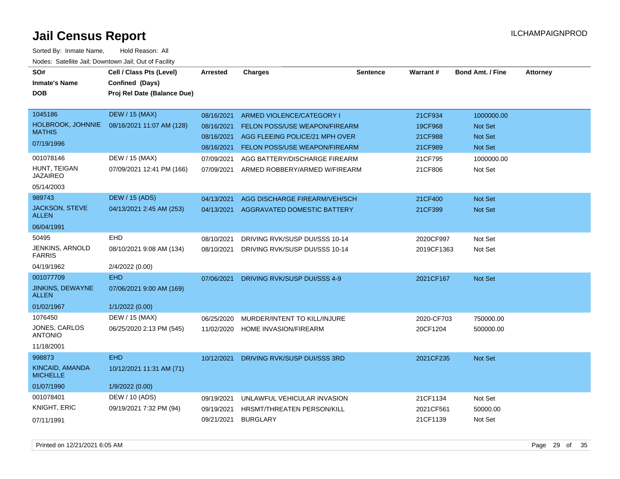| SO#<br><b>Inmate's Name</b><br><b>DOB</b> | Cell / Class Pts (Level)<br>Confined (Days)<br>Proj Rel Date (Balance Due) | <b>Arrested</b> | <b>Charges</b>                       | <b>Sentence</b> | Warrant#   | <b>Bond Amt. / Fine</b> | <b>Attorney</b> |
|-------------------------------------------|----------------------------------------------------------------------------|-----------------|--------------------------------------|-----------------|------------|-------------------------|-----------------|
| 1045186                                   | <b>DEW / 15 (MAX)</b>                                                      | 08/16/2021      | ARMED VIOLENCE/CATEGORY I            |                 | 21CF934    | 1000000.00              |                 |
| HOLBROOK, JOHNNIE<br><b>MATHIS</b>        | 08/16/2021 11:07 AM (128)                                                  | 08/16/2021      | FELON POSS/USE WEAPON/FIREARM        |                 | 19CF968    | Not Set                 |                 |
|                                           |                                                                            | 08/16/2021      | AGG FLEEING POLICE/21 MPH OVER       |                 | 21CF988    | <b>Not Set</b>          |                 |
| 07/19/1996                                |                                                                            | 08/16/2021      | <b>FELON POSS/USE WEAPON/FIREARM</b> |                 | 21CF989    | Not Set                 |                 |
| 001078146                                 | DEW / 15 (MAX)                                                             | 07/09/2021      | AGG BATTERY/DISCHARGE FIREARM        |                 | 21CF795    | 1000000.00              |                 |
| HUNT, TEIGAN<br>JAZAIREO                  | 07/09/2021 12:41 PM (166)                                                  | 07/09/2021      | ARMED ROBBERY/ARMED W/FIREARM        |                 | 21CF806    | Not Set                 |                 |
| 05/14/2003                                |                                                                            |                 |                                      |                 |            |                         |                 |
| 989743                                    | <b>DEW / 15 (ADS)</b>                                                      | 04/13/2021      | AGG DISCHARGE FIREARM/VEH/SCH        |                 | 21CF400    | Not Set                 |                 |
| JACKSON, STEVE<br>ALLEN                   | 04/13/2021 2:45 AM (253)                                                   | 04/13/2021      | <b>AGGRAVATED DOMESTIC BATTERY</b>   |                 | 21CF399    | <b>Not Set</b>          |                 |
| 06/04/1991                                |                                                                            |                 |                                      |                 |            |                         |                 |
| 50495                                     | <b>EHD</b>                                                                 | 08/10/2021      | DRIVING RVK/SUSP DUI/SSS 10-14       |                 | 2020CF997  | Not Set                 |                 |
| JENKINS, ARNOLD<br><b>FARRIS</b>          | 08/10/2021 9:08 AM (134)                                                   | 08/10/2021      | DRIVING RVK/SUSP DUI/SSS 10-14       |                 | 2019CF1363 | Not Set                 |                 |
| 04/19/1962                                | 2/4/2022 (0.00)                                                            |                 |                                      |                 |            |                         |                 |
| 001077709                                 | <b>EHD</b>                                                                 | 07/06/2021      | DRIVING RVK/SUSP DUI/SSS 4-9         |                 | 2021CF167  | Not Set                 |                 |
| JINKINS, DEWAYNE<br><b>ALLEN</b>          | 07/06/2021 9:00 AM (169)                                                   |                 |                                      |                 |            |                         |                 |
| 01/02/1967                                | 1/1/2022 (0.00)                                                            |                 |                                      |                 |            |                         |                 |
| 1076450                                   | DEW / 15 (MAX)                                                             | 06/25/2020      | MURDER/INTENT TO KILL/INJURE         |                 | 2020-CF703 | 750000.00               |                 |
| JONES, CARLOS<br><b>ANTONIO</b>           | 06/25/2020 2:13 PM (545)                                                   | 11/02/2020      | HOME INVASION/FIREARM                |                 | 20CF1204   | 500000.00               |                 |
| 11/18/2001                                |                                                                            |                 |                                      |                 |            |                         |                 |
| 998873                                    | <b>EHD</b>                                                                 | 10/12/2021      | DRIVING RVK/SUSP DUI/SSS 3RD         |                 | 2021CF235  | <b>Not Set</b>          |                 |
| <b>KINCAID, AMANDA</b><br><b>MICHELLE</b> | 10/12/2021 11:31 AM (71)                                                   |                 |                                      |                 |            |                         |                 |
| 01/07/1990                                | 1/9/2022 (0.00)                                                            |                 |                                      |                 |            |                         |                 |
| 001078401                                 | DEW / 10 (ADS)                                                             | 09/19/2021      | UNLAWFUL VEHICULAR INVASION          |                 | 21CF1134   | Not Set                 |                 |
| KNIGHT, ERIC                              | 09/19/2021 7:32 PM (94)                                                    | 09/19/2021      | HRSMT/THREATEN PERSON/KILL           |                 | 2021CF561  | 50000.00                |                 |
| 07/11/1991                                |                                                                            | 09/21/2021      | BURGLARY                             |                 | 21CF1139   | Not Set                 |                 |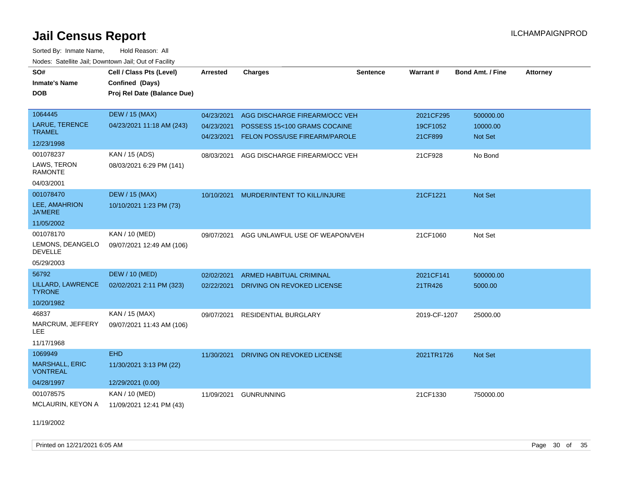Sorted By: Inmate Name, Hold Reason: All Nodes: Satellite Jail; Downtown Jail; Out of Facility

| SO#                                      | Cell / Class Pts (Level)    | <b>Arrested</b> | <b>Charges</b>                 | <b>Sentence</b> | Warrant#     | <b>Bond Amt. / Fine</b> | <b>Attorney</b> |
|------------------------------------------|-----------------------------|-----------------|--------------------------------|-----------------|--------------|-------------------------|-----------------|
| <b>Inmate's Name</b>                     | Confined (Days)             |                 |                                |                 |              |                         |                 |
| <b>DOB</b>                               | Proj Rel Date (Balance Due) |                 |                                |                 |              |                         |                 |
|                                          |                             |                 |                                |                 |              |                         |                 |
| 1064445                                  | <b>DEW / 15 (MAX)</b>       | 04/23/2021      | AGG DISCHARGE FIREARM/OCC VEH  |                 | 2021CF295    | 500000.00               |                 |
| LARUE, TERENCE                           | 04/23/2021 11:18 AM (243)   | 04/23/2021      | POSSESS 15<100 GRAMS COCAINE   |                 | 19CF1052     | 10000.00                |                 |
| <b>TRAMEL</b>                            |                             | 04/23/2021      | FELON POSS/USE FIREARM/PAROLE  |                 | 21CF899      | <b>Not Set</b>          |                 |
| 12/23/1998                               |                             |                 |                                |                 |              |                         |                 |
| 001078237                                | KAN / 15 (ADS)              | 08/03/2021      | AGG DISCHARGE FIREARM/OCC VEH  |                 | 21CF928      | No Bond                 |                 |
| LAWS, TERON<br><b>RAMONTE</b>            | 08/03/2021 6:29 PM (141)    |                 |                                |                 |              |                         |                 |
| 04/03/2001                               |                             |                 |                                |                 |              |                         |                 |
| 001078470                                | <b>DEW / 15 (MAX)</b>       | 10/10/2021      | MURDER/INTENT TO KILL/INJURE   |                 | 21CF1221     | <b>Not Set</b>          |                 |
| LEE, AMAHRION<br><b>JA'MERE</b>          | 10/10/2021 1:23 PM (73)     |                 |                                |                 |              |                         |                 |
| 11/05/2002                               |                             |                 |                                |                 |              |                         |                 |
| 001078170                                | KAN / 10 (MED)              | 09/07/2021      | AGG UNLAWFUL USE OF WEAPON/VEH |                 | 21CF1060     | Not Set                 |                 |
| LEMONS, DEANGELO<br><b>DEVELLE</b>       | 09/07/2021 12:49 AM (106)   |                 |                                |                 |              |                         |                 |
| 05/29/2003                               |                             |                 |                                |                 |              |                         |                 |
| 56792                                    | <b>DEW / 10 (MED)</b>       | 02/02/2021      | <b>ARMED HABITUAL CRIMINAL</b> |                 | 2021CF141    | 500000.00               |                 |
| LILLARD, LAWRENCE<br><b>TYRONE</b>       | 02/02/2021 2:11 PM (323)    | 02/22/2021      | DRIVING ON REVOKED LICENSE     |                 | 21TR426      | 5000.00                 |                 |
| 10/20/1982                               |                             |                 |                                |                 |              |                         |                 |
| 46837                                    | KAN / 15 (MAX)              | 09/07/2021      | <b>RESIDENTIAL BURGLARY</b>    |                 | 2019-CF-1207 | 25000.00                |                 |
| MARCRUM, JEFFERY<br>LEE.                 | 09/07/2021 11:43 AM (106)   |                 |                                |                 |              |                         |                 |
| 11/17/1968                               |                             |                 |                                |                 |              |                         |                 |
| 1069949                                  | <b>EHD</b>                  | 11/30/2021      | DRIVING ON REVOKED LICENSE     |                 | 2021TR1726   | Not Set                 |                 |
| <b>MARSHALL, ERIC</b><br><b>VONTREAL</b> | 11/30/2021 3:13 PM (22)     |                 |                                |                 |              |                         |                 |
| 04/28/1997                               | 12/29/2021 (0.00)           |                 |                                |                 |              |                         |                 |
| 001078575                                | KAN / 10 (MED)              | 11/09/2021      | <b>GUNRUNNING</b>              |                 | 21CF1330     | 750000.00               |                 |
| MCLAURIN, KEYON A                        | 11/09/2021 12:41 PM (43)    |                 |                                |                 |              |                         |                 |

11/19/2002

Printed on  $12/21/2021$  6:05 AM Page 30 of 35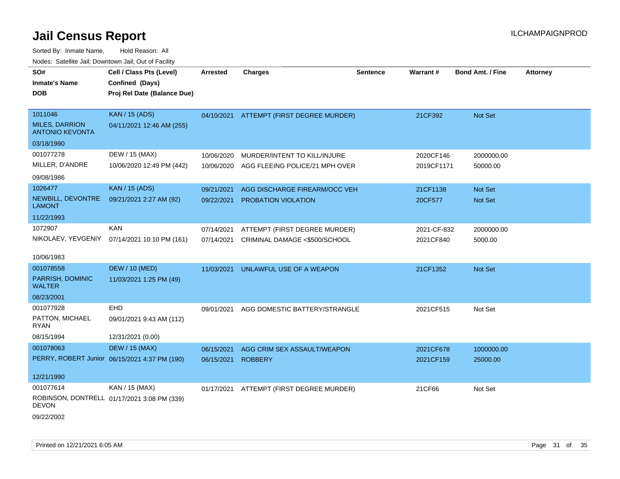| SO#<br><b>Inmate's Name</b><br><b>DOB</b>       | Cell / Class Pts (Level)<br>Confined (Days)<br>Proj Rel Date (Balance Due) | <b>Arrested</b> | <b>Charges</b>                           | <b>Sentence</b> | Warrant#    | <b>Bond Amt. / Fine</b> | <b>Attorney</b> |
|-------------------------------------------------|----------------------------------------------------------------------------|-----------------|------------------------------------------|-----------------|-------------|-------------------------|-----------------|
|                                                 |                                                                            |                 |                                          |                 |             |                         |                 |
| 1011046                                         | <b>KAN / 15 (ADS)</b>                                                      |                 | 04/10/2021 ATTEMPT (FIRST DEGREE MURDER) |                 | 21CF392     | Not Set                 |                 |
| <b>MILES, DARRION</b><br><b>ANTONIO KEVONTA</b> | 04/11/2021 12:46 AM (255)                                                  |                 |                                          |                 |             |                         |                 |
| 03/18/1990                                      |                                                                            |                 |                                          |                 |             |                         |                 |
| 001077278                                       | DEW / 15 (MAX)                                                             | 10/06/2020      | MURDER/INTENT TO KILL/INJURE             |                 | 2020CF146   | 2000000.00              |                 |
| MILLER, D'ANDRE                                 | 10/06/2020 12:49 PM (442)                                                  | 10/06/2020      | AGG FLEEING POLICE/21 MPH OVER           |                 | 2019CF1171  | 50000.00                |                 |
| 09/08/1986                                      |                                                                            |                 |                                          |                 |             |                         |                 |
| 1026477                                         | <b>KAN / 15 (ADS)</b>                                                      | 09/21/2021      | AGG DISCHARGE FIREARM/OCC VEH            |                 | 21CF1138    | Not Set                 |                 |
| NEWBILL, DEVONTRE<br><b>LAMONT</b>              | 09/21/2021 2:27 AM (92)                                                    | 09/22/2021      | PROBATION VIOLATION                      |                 | 20CF577     | Not Set                 |                 |
| 11/22/1993                                      |                                                                            |                 |                                          |                 |             |                         |                 |
| 1072907                                         | <b>KAN</b>                                                                 | 07/14/2021      | ATTEMPT (FIRST DEGREE MURDER)            |                 | 2021-CF-832 | 2000000.00              |                 |
| NIKOLAEV, YEVGENIY                              | 07/14/2021 10:10 PM (161)                                                  | 07/14/2021      | CRIMINAL DAMAGE <\$500/SCHOOL            |                 | 2021CF840   | 5000.00                 |                 |
| 10/06/1983                                      |                                                                            |                 |                                          |                 |             |                         |                 |
| 001078558                                       | <b>DEW / 10 (MED)</b>                                                      | 11/03/2021      | UNLAWFUL USE OF A WEAPON                 |                 | 21CF1352    | Not Set                 |                 |
| PARRISH, DOMINIC<br><b>WALTER</b>               | 11/03/2021 1:25 PM (49)                                                    |                 |                                          |                 |             |                         |                 |
| 08/23/2001                                      |                                                                            |                 |                                          |                 |             |                         |                 |
| 001077928                                       | <b>EHD</b>                                                                 | 09/01/2021      | AGG DOMESTIC BATTERY/STRANGLE            |                 | 2021CF515   | Not Set                 |                 |
| PATTON, MICHAEL<br><b>RYAN</b>                  | 09/01/2021 9:43 AM (112)                                                   |                 |                                          |                 |             |                         |                 |
| 08/15/1994                                      | 12/31/2021 (0.00)                                                          |                 |                                          |                 |             |                         |                 |
| 001078063                                       | <b>DEW / 15 (MAX)</b>                                                      | 06/15/2021      | AGG CRIM SEX ASSAULT/WEAPON              |                 | 2021CF678   | 1000000.00              |                 |
|                                                 | PERRY, ROBERT Junior 06/15/2021 4:37 PM (190)                              | 06/15/2021      | <b>ROBBERY</b>                           |                 | 2021CF159   | 25000.00                |                 |
| 12/21/1990                                      |                                                                            |                 |                                          |                 |             |                         |                 |
| 001077614                                       | KAN / 15 (MAX)                                                             | 01/17/2021      | ATTEMPT (FIRST DEGREE MURDER)            |                 | 21CF66      | Not Set                 |                 |
| <b>DEVON</b>                                    | ROBINSON, DONTRELL 01/17/2021 3:08 PM (339)                                |                 |                                          |                 |             |                         |                 |
| 09/22/2002                                      |                                                                            |                 |                                          |                 |             |                         |                 |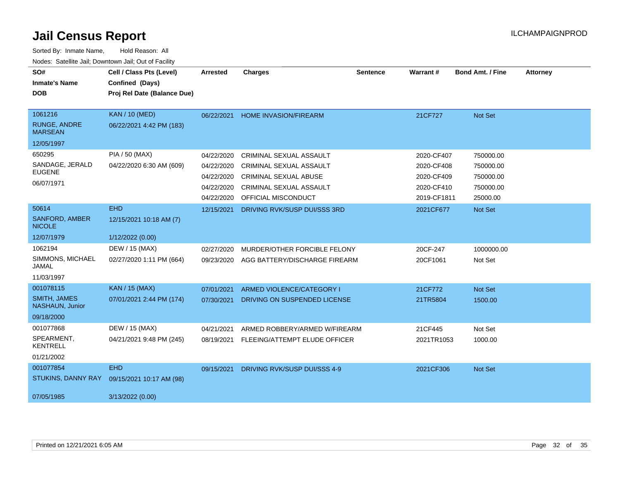| SO#<br><b>Inmate's Name</b><br><b>DOB</b>        | Cell / Class Pts (Level)<br>Confined (Days)<br>Proj Rel Date (Balance Due) | <b>Arrested</b> | <b>Charges</b>                | <b>Sentence</b> | Warrant#    | <b>Bond Amt. / Fine</b> | <b>Attorney</b> |
|--------------------------------------------------|----------------------------------------------------------------------------|-----------------|-------------------------------|-----------------|-------------|-------------------------|-----------------|
| 1061216<br><b>RUNGE, ANDRE</b><br><b>MARSEAN</b> | <b>KAN / 10 (MED)</b><br>06/22/2021 4:42 PM (183)                          | 06/22/2021      | <b>HOME INVASION/FIREARM</b>  |                 | 21CF727     | Not Set                 |                 |
| 12/05/1997                                       |                                                                            |                 |                               |                 |             |                         |                 |
| 650295                                           | <b>PIA / 50 (MAX)</b>                                                      | 04/22/2020      | CRIMINAL SEXUAL ASSAULT       |                 | 2020-CF407  | 750000.00               |                 |
| SANDAGE, JERALD<br><b>EUGENE</b>                 | 04/22/2020 6:30 AM (609)                                                   | 04/22/2020      | CRIMINAL SEXUAL ASSAULT       |                 | 2020-CF408  | 750000.00               |                 |
| 06/07/1971                                       |                                                                            | 04/22/2020      | <b>CRIMINAL SEXUAL ABUSE</b>  |                 | 2020-CF409  | 750000.00               |                 |
|                                                  |                                                                            | 04/22/2020      | CRIMINAL SEXUAL ASSAULT       |                 | 2020-CF410  | 750000.00               |                 |
|                                                  |                                                                            | 04/22/2020      | <b>OFFICIAL MISCONDUCT</b>    |                 | 2019-CF1811 | 25000.00                |                 |
| 50614                                            | <b>EHD</b>                                                                 | 12/15/2021      | DRIVING RVK/SUSP DUI/SSS 3RD  |                 | 2021CF677   | Not Set                 |                 |
| <b>SANFORD, AMBER</b><br><b>NICOLE</b>           | 12/15/2021 10:18 AM (7)                                                    |                 |                               |                 |             |                         |                 |
| 12/07/1979                                       | 1/12/2022 (0.00)                                                           |                 |                               |                 |             |                         |                 |
| 1062194                                          | DEW / 15 (MAX)                                                             | 02/27/2020      | MURDER/OTHER FORCIBLE FELONY  |                 | 20CF-247    | 1000000.00              |                 |
| SIMMONS, MICHAEL<br><b>JAMAL</b>                 | 02/27/2020 1:11 PM (664)                                                   | 09/23/2020      | AGG BATTERY/DISCHARGE FIREARM |                 | 20CF1061    | Not Set                 |                 |
| 11/03/1997                                       |                                                                            |                 |                               |                 |             |                         |                 |
| 001078115                                        | <b>KAN / 15 (MAX)</b>                                                      | 07/01/2021      | ARMED VIOLENCE/CATEGORY I     |                 | 21CF772     | Not Set                 |                 |
| <b>SMITH, JAMES</b><br>NASHAUN, Junior           | 07/01/2021 2:44 PM (174)                                                   | 07/30/2021      | DRIVING ON SUSPENDED LICENSE  |                 | 21TR5804    | 1500.00                 |                 |
| 09/18/2000                                       |                                                                            |                 |                               |                 |             |                         |                 |
| 001077868                                        | DEW / 15 (MAX)                                                             | 04/21/2021      | ARMED ROBBERY/ARMED W/FIREARM |                 | 21CF445     | Not Set                 |                 |
| SPEARMENT,<br><b>KENTRELL</b>                    | 04/21/2021 9:48 PM (245)                                                   | 08/19/2021      | FLEEING/ATTEMPT ELUDE OFFICER |                 | 2021TR1053  | 1000.00                 |                 |
| 01/21/2002                                       |                                                                            |                 |                               |                 |             |                         |                 |
| 001077854                                        | <b>EHD</b>                                                                 | 09/15/2021      | DRIVING RVK/SUSP DUI/SSS 4-9  |                 | 2021CF306   | <b>Not Set</b>          |                 |
| STUKINS, DANNY RAY                               | 09/15/2021 10:17 AM (98)                                                   |                 |                               |                 |             |                         |                 |
| 07/05/1985                                       | 3/13/2022 (0.00)                                                           |                 |                               |                 |             |                         |                 |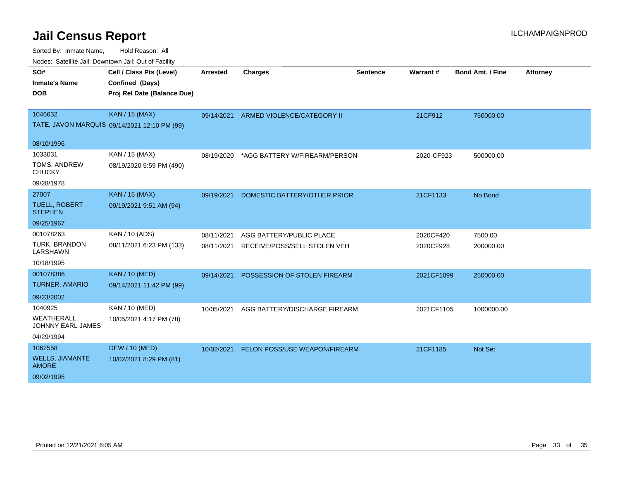| roaco. Calcinio dan, Domnomi dan, Cal or Fability |                                              |            |                               |          |            |                         |                 |
|---------------------------------------------------|----------------------------------------------|------------|-------------------------------|----------|------------|-------------------------|-----------------|
| SO#                                               | Cell / Class Pts (Level)                     | Arrested   | <b>Charges</b>                | Sentence | Warrant#   | <b>Bond Amt. / Fine</b> | <b>Attorney</b> |
| <b>Inmate's Name</b>                              | Confined (Days)                              |            |                               |          |            |                         |                 |
| <b>DOB</b>                                        | Proj Rel Date (Balance Due)                  |            |                               |          |            |                         |                 |
|                                                   |                                              |            |                               |          |            |                         |                 |
| 1046632                                           | <b>KAN / 15 (MAX)</b>                        | 09/14/2021 | ARMED VIOLENCE/CATEGORY II    |          | 21CF912    | 750000.00               |                 |
|                                                   | TATE, JAVON MARQUIS 09/14/2021 12:10 PM (99) |            |                               |          |            |                         |                 |
| 08/10/1996                                        |                                              |            |                               |          |            |                         |                 |
| 1033031                                           | KAN / 15 (MAX)                               | 08/19/2020 | *AGG BATTERY W/FIREARM/PERSON |          | 2020-CF923 | 500000.00               |                 |
| TOMS, ANDREW<br><b>CHUCKY</b>                     | 08/19/2020 5:59 PM (490)                     |            |                               |          |            |                         |                 |
| 09/28/1978                                        |                                              |            |                               |          |            |                         |                 |
| 27007                                             | <b>KAN / 15 (MAX)</b>                        | 09/19/2021 | DOMESTIC BATTERY/OTHER PRIOR  |          | 21CF1133   | No Bond                 |                 |
| <b>TUELL, ROBERT</b><br><b>STEPHEN</b>            | 09/19/2021 9:51 AM (94)                      |            |                               |          |            |                         |                 |
| 09/25/1967                                        |                                              |            |                               |          |            |                         |                 |
| 001078263                                         | KAN / 10 (ADS)                               | 08/11/2021 | AGG BATTERY/PUBLIC PLACE      |          | 2020CF420  | 7500.00                 |                 |
| TURK, BRANDON<br>LARSHAWN                         | 08/11/2021 6:23 PM (133)                     | 08/11/2021 | RECEIVE/POSS/SELL STOLEN VEH  |          | 2020CF928  | 200000.00               |                 |
| 10/18/1995                                        |                                              |            |                               |          |            |                         |                 |
| 001078386                                         | <b>KAN / 10 (MED)</b>                        | 09/14/2021 | POSSESSION OF STOLEN FIREARM  |          | 2021CF1099 | 250000.00               |                 |
| <b>TURNER, AMARIO</b>                             | 09/14/2021 11:42 PM (99)                     |            |                               |          |            |                         |                 |
| 09/23/2002                                        |                                              |            |                               |          |            |                         |                 |
| 1040925                                           | KAN / 10 (MED)                               | 10/05/2021 | AGG BATTERY/DISCHARGE FIREARM |          | 2021CF1105 | 1000000.00              |                 |
| <b>WEATHERALL,</b><br>JOHNNY EARL JAMES           | 10/05/2021 4:17 PM (78)                      |            |                               |          |            |                         |                 |
| 04/29/1994                                        |                                              |            |                               |          |            |                         |                 |
| 1062558                                           | <b>DEW / 10 (MED)</b>                        | 10/02/2021 | FELON POSS/USE WEAPON/FIREARM |          | 21CF1185   | Not Set                 |                 |
| <b>WELLS, JIAMANTE</b><br><b>AMORE</b>            | 10/02/2021 8:29 PM (81)                      |            |                               |          |            |                         |                 |
| 09/02/1995                                        |                                              |            |                               |          |            |                         |                 |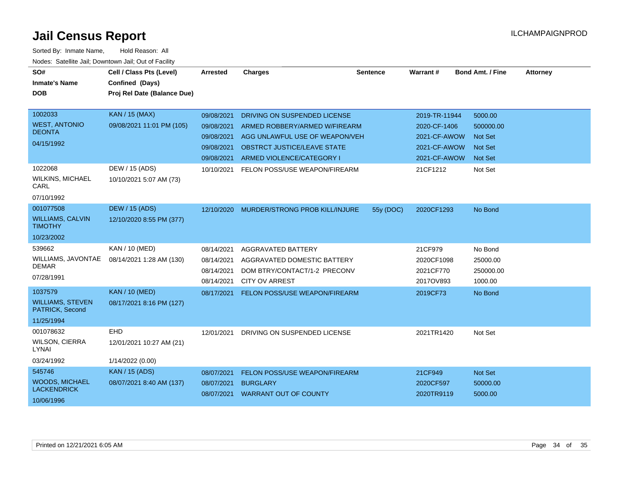| SO#<br><b>Inmate's Name</b><br><b>DOB</b>                            | Cell / Class Pts (Level)<br>Confined (Days)<br>Proj Rel Date (Balance Due) | Arrested                                                           | <b>Charges</b>                                                                                                                                              | <b>Sentence</b> | Warrant#                                                                      | <b>Bond Amt. / Fine</b>                                             | <b>Attorney</b> |
|----------------------------------------------------------------------|----------------------------------------------------------------------------|--------------------------------------------------------------------|-------------------------------------------------------------------------------------------------------------------------------------------------------------|-----------------|-------------------------------------------------------------------------------|---------------------------------------------------------------------|-----------------|
| 1002033<br><b>WEST, ANTONIO</b><br><b>DEONTA</b><br>04/15/1992       | <b>KAN / 15 (MAX)</b><br>09/08/2021 11:01 PM (105)                         | 09/08/2021<br>09/08/2021<br>09/08/2021<br>09/08/2021<br>09/08/2021 | DRIVING ON SUSPENDED LICENSE<br>ARMED ROBBERY/ARMED W/FIREARM<br>AGG UNLAWFUL USE OF WEAPON/VEH<br>OBSTRCT JUSTICE/LEAVE STATE<br>ARMED VIOLENCE/CATEGORY I |                 | 2019-TR-11944<br>2020-CF-1406<br>2021-CF-AWOW<br>2021-CF-AWOW<br>2021-CF-AWOW | 5000.00<br>500000.00<br><b>Not Set</b><br><b>Not Set</b><br>Not Set |                 |
| 1022068<br><b>WILKINS, MICHAEL</b><br>CARL<br>07/10/1992             | DEW / 15 (ADS)<br>10/10/2021 5:07 AM (73)                                  | 10/10/2021                                                         | FELON POSS/USE WEAPON/FIREARM                                                                                                                               |                 | 21CF1212                                                                      | Not Set                                                             |                 |
| 001077508<br><b>WILLIAMS, CALVIN</b><br><b>TIMOTHY</b><br>10/23/2002 | <b>DEW / 15 (ADS)</b><br>12/10/2020 8:55 PM (377)                          |                                                                    | 12/10/2020 MURDER/STRONG PROB KILL/INJURE                                                                                                                   | 55y (DOC)       | 2020CF1293                                                                    | No Bond                                                             |                 |
| 539662<br>WILLIAMS, JAVONTAE<br><b>DEMAR</b><br>07/28/1991           | KAN / 10 (MED)<br>08/14/2021 1:28 AM (130)                                 | 08/14/2021<br>08/14/2021<br>08/14/2021<br>08/14/2021               | AGGRAVATED BATTERY<br>AGGRAVATED DOMESTIC BATTERY<br>DOM BTRY/CONTACT/1-2 PRECONV<br><b>CITY OV ARREST</b>                                                  |                 | 21CF979<br>2020CF1098<br>2021CF770<br>2017OV893                               | No Bond<br>25000.00<br>250000.00<br>1000.00                         |                 |
| 1037579<br><b>WILLIAMS, STEVEN</b><br>PATRICK, Second<br>11/25/1994  | <b>KAN / 10 (MED)</b><br>08/17/2021 8:16 PM (127)                          | 08/17/2021                                                         | FELON POSS/USE WEAPON/FIREARM                                                                                                                               |                 | 2019CF73                                                                      | No Bond                                                             |                 |
| 001078632<br><b>WILSON, CIERRA</b><br>LYNAI<br>03/24/1992            | EHD<br>12/01/2021 10:27 AM (21)<br>1/14/2022 (0.00)                        | 12/01/2021                                                         | DRIVING ON SUSPENDED LICENSE                                                                                                                                |                 | 2021TR1420                                                                    | Not Set                                                             |                 |
| 545746<br><b>WOODS, MICHAEL</b><br><b>LACKENDRICK</b><br>10/06/1996  | <b>KAN / 15 (ADS)</b><br>08/07/2021 8:40 AM (137)                          | 08/07/2021<br>08/07/2021                                           | FELON POSS/USE WEAPON/FIREARM<br><b>BURGLARY</b><br>08/07/2021 WARRANT OUT OF COUNTY                                                                        |                 | 21CF949<br>2020CF597<br>2020TR9119                                            | Not Set<br>50000.00<br>5000.00                                      |                 |